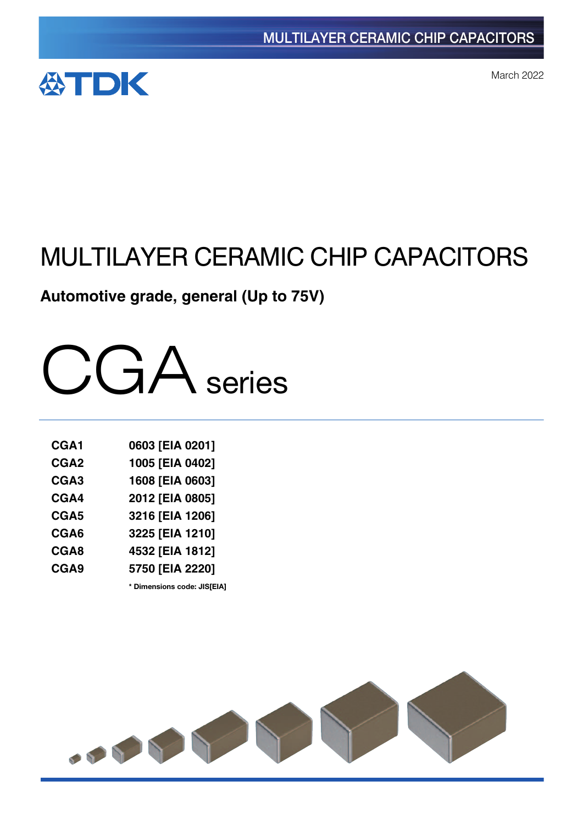

March 2022

# MULTILAYER CERAMIC CHIP CAPACITORS

# **Automotive grade, general (Up to 75V)**



| CGA1             | 0603 [EIA 0201] |
|------------------|-----------------|
| CGA <sub>2</sub> | 1005 [EIA 0402] |
| CGA <sub>3</sub> | 1608 [EIA 0603] |
| CGA4             | 2012 [EIA 0805] |
| CGA <sub>5</sub> | 3216 [EIA 1206] |
| CGA6             | 3225 [EIA 1210] |
| CGA8             | 4532 [EIA 1812] |
| CGA9             | 5750 [EIA 2220] |

**\*** Dimensions code: JIS[EIA]

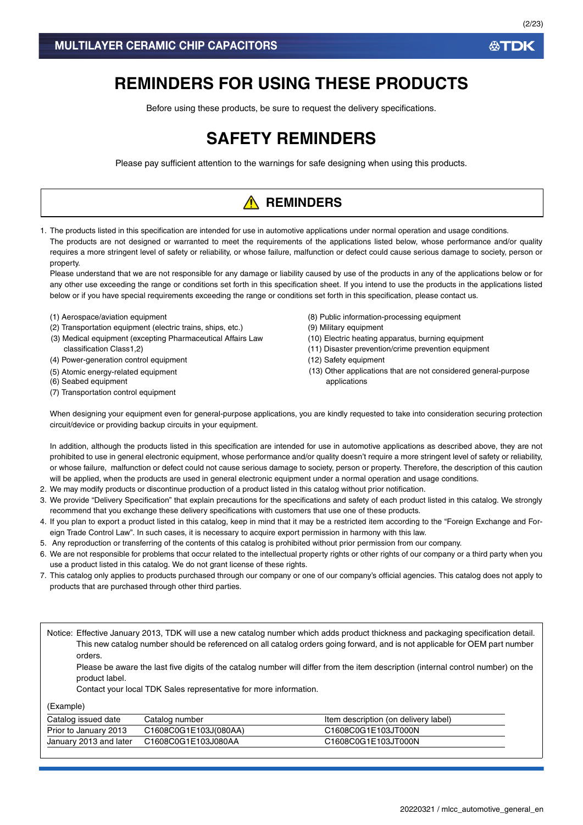# **REMINDERS FOR USING THESE PRODUCTS**

Before using these products, be sure to request the delivery specifications.

# **SAFETY REMINDERS**

Please pay sufficient attention to the warnings for safe designing when using this products.

# **A** REMINDERS

1. The products listed in this specification are intended for use in automotive applications under normal operation and usage conditions. The products are not designed or warranted to meet the requirements of the applications listed below, whose performance and/or quality requires a more stringent level of safety or reliability, or whose failure, malfunction or defect could cause serious damage to society, person or property.

Please understand that we are not responsible for any damage or liability caused by use of the products in any of the applications below or for any other use exceeding the range or conditions set forth in this specification sheet. If you intend to use the products in the applications listed below or if you have special requirements exceeding the range or conditions set forth in this specification, please contact us.

- (1) Aerospace/aviation equipment
- (2) Transportation equipment (electric trains, ships, etc.)
- (3) Medical equipment (excepting Pharmaceutical Affairs Law classification Class1,2)
- (4) Power-generation control equipment
- (5) Atomic energy-related equipment
- (6) Seabed equipment
- (7) Transportation control equipment
- (8) Public information-processing equipment
- (9) Military equipment
- (10) Electric heating apparatus, burning equipment
- (11) Disaster prevention/crime prevention equipment
- (12) Safety equipment
- (13) Other applications that are not considered general-purpose applications

When designing your equipment even for general-purpose applications, you are kindly requested to take into consideration securing protection circuit/device or providing backup circuits in your equipment.

In addition, although the products listed in this specification are intended for use in automotive applications as described above, they are not prohibited to use in general electronic equipment, whose performance and/or quality doesn't require a more stringent level of safety or reliability, or whose failure, malfunction or defect could not cause serious damage to society, person or property. Therefore, the description of this caution will be applied, when the products are used in general electronic equipment under a normal operation and usage conditions.

- 2. We may modify products or discontinue production of a product listed in this catalog without prior notification.
- 3. We provide "Delivery Specification" that explain precautions for the specifications and safety of each product listed in this catalog. We strongly recommend that you exchange these delivery specifications with customers that use one of these products.
- 4. If you plan to export a product listed in this catalog, keep in mind that it may be a restricted item according to the "Foreign Exchange and Foreign Trade Control Law". In such cases, it is necessary to acquire export permission in harmony with this law.
- 5. Any reproduction or transferring of the contents of this catalog is prohibited without prior permission from our company.
- 6. We are not responsible for problems that occur related to the intellectual property rights or other rights of our company or a third party when you use a product listed in this catalog. We do not grant license of these rights.
- 7. This catalog only applies to products purchased through our company or one of our company's official agencies. This catalog does not apply to products that are purchased through other third parties.

Notice: Effective January 2013, TDK will use a new catalog number which adds product thickness and packaging specification detail. This new catalog number should be referenced on all catalog orders going forward, and is not applicable for OEM part number orders.

Please be aware the last five digits of the catalog number will differ from the item description (internal control number) on the product label.

Contact your local TDK Sales representative for more information.

(Example)

| Catalog issued date    | Catalog number        | Item description (on delivery label) |
|------------------------|-----------------------|--------------------------------------|
| Prior to January 2013  | C1608C0G1E103J(080AA) | C1608C0G1E103JT000N                  |
| January 2013 and later | C1608C0G1E103J080AA   | C1608C0G1E103JT000N                  |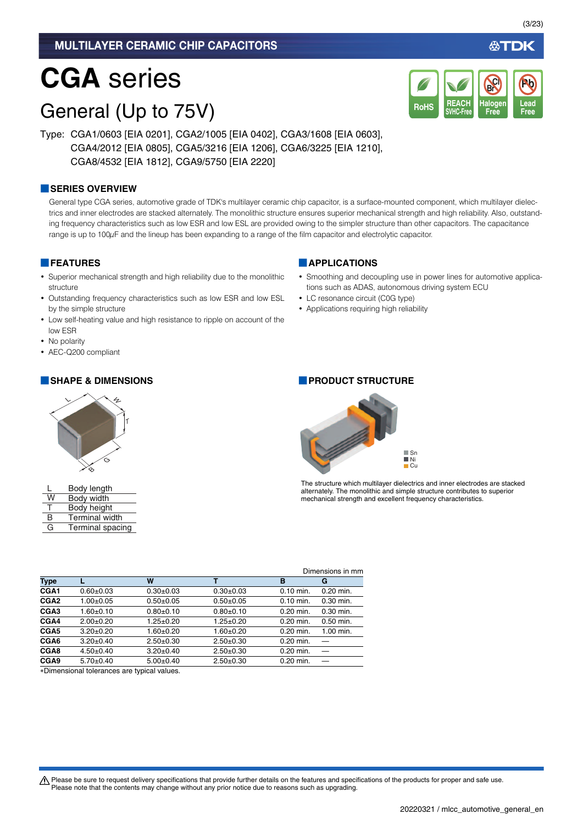# **CGA** series

# General (Up to 75V)

Type: CGA1/0603 [EIA 0201], CGA2/1005 [EIA 0402], CGA3/1608 [EIA 0603], CGA4/2012 [EIA 0805], CGA5/3216 [EIA 1206], CGA6/3225 [EIA 1210], CGA8/4532 [EIA 1812], CGA9/5750 [EIA 2220]

### **■SERIES OVERVIEW**

General type CGA series, automotive grade of TDK's multilayer ceramic chip capacitor, is a surface-mounted component, which multilayer dielectrics and inner electrodes are stacked alternately. The monolithic structure ensures superior mechanical strength and high reliability. Also, outstanding frequency characteristics such as low ESR and low ESL are provided owing to the simpler structure than other capacitors. The capacitance range is up to 100 $\mu$ F and the lineup has been expanding to a range of the film capacitor and electrolytic capacitor.

### **■FEATURES**

- Superior mechanical strength and high reliability due to the monolithic structure
- Outstanding frequency characteristics such as low ESR and low ESL by the simple structure
- Low self-heating value and high resistance to ripple on account of the low ESR
- No polarity
- AEC-Q200 compliant



|   | Body length           |
|---|-----------------------|
| W | Body width            |
| т | Body height           |
| B | <b>Terminal width</b> |
| G | Terminal spacing      |

### **■APPLICATIONS**

• Smoothing and decoupling use in power lines for automotive applications such as ADAS, autonomous driving system ECU

**REACH SVHC-Free**

RoHS SVHC-Free Free Free

**Halogen Free**

**Br Cl**

- LC resonance circuit (C0G type)
- Applications requiring high reliability

### **■SHAPE & DIMENSIONS ■PRODUCT STRUCTURE**



The structure which multilayer dielectrics and inner electrodes are stacked alternately. The monolithic and simple structure contributes to superior mechanical strength and excellent frequency characteristics.

| Dimensions in mm |                                            |                 |                 |             |             |
|------------------|--------------------------------------------|-----------------|-----------------|-------------|-------------|
| <b>Type</b>      |                                            | W               |                 | в           | G           |
| CGA <sub>1</sub> | $0.60 + 0.03$                              | $0.30+0.03$     | $0.30+0.03$     | $0.10$ min. | $0.20$ min. |
| CGA <sub>2</sub> | 1.00±0.05                                  | $0.50 + 0.05$   | $0.50+0.05$     | $0.10$ min. | $0.30$ min. |
| CGA <sub>3</sub> | 1.60±0.10                                  | $0.80 + 0.10$   | $0.80 + 0.10$   | 0.20 min.   | $0.30$ min. |
| CGA4             | $2.00+0.20$                                | $1.25 \pm 0.20$ | $1.25 \pm 0.20$ | 0.20 min.   | $0.50$ min. |
| CGA5             | $3.20+0.20$                                | $1.60 + 0.20$   | $1.60 + 0.20$   | $0.20$ min. | 1.00 min.   |
| CGA6             | $3.20 \pm 0.40$                            | $2.50+0.30$     | $2.50+0.30$     | $0.20$ min. |             |
| CGA8             | $4.50 \pm 0.40$                            | $3.20 \pm 0.40$ | $2.50+0.30$     | $0.20$ min. |             |
| CGA9             | $5.70 \pm 0.40$                            | $5.00+0.40$     | $2.50+0.30$     | $0.20$ min. |             |
|                  | "Dimanaianal talerangea ara tunigal values |                 |                 |             |             |

Dimensional tolerances are typical values.

A Please be sure to request delivery specifications that provide further details on the features and specifications of the products for proper and safe use. Please note that the contents may change without any prior notice due to reasons such as upgrading.

**Lead**

**Pb**

∰TDK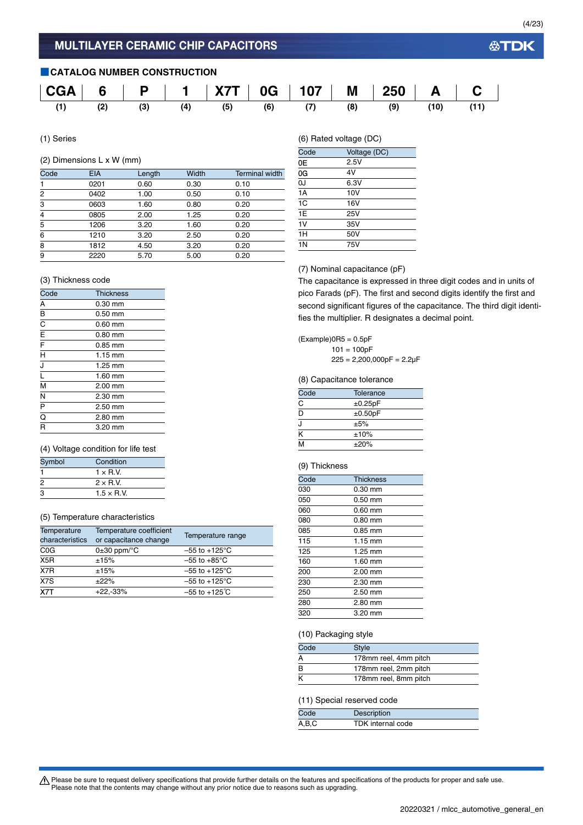### **■CATALOG NUMBER CONSTRUCTION**



(1) Series

### (2) Dimensions L x W (mm)

| Code           | <b>EIA</b> | Length | Width | <b>Terminal width</b> |
|----------------|------------|--------|-------|-----------------------|
| 1              | 0201       | 0.60   | 0.30  | 0.10                  |
| 2              | 0402       | 1.00   | 0.50  | 0.10                  |
| 3              | 0603       | 1.60   | 0.80  | 0.20                  |
| $\overline{4}$ | 0805       | 2.00   | 1.25  | 0.20                  |
| 5              | 1206       | 3.20   | 1.60  | 0.20                  |
| 6              | 1210       | 3.20   | 2.50  | 0.20                  |
| 8              | 1812       | 4.50   | 3.20  | 0.20                  |
| 9              | 2220       | 5.70   | 5.00  | 0.20                  |

### (6) Rated voltage (DC)

| Code           | Voltage (DC) |  |
|----------------|--------------|--|
| 0Е             | 2.5V         |  |
| 0G             | 4V           |  |
| 0J             | 6.3V         |  |
| 1A             | 10V          |  |
| 1C             | 16V          |  |
| 1E             | 25V          |  |
| 1V             | 35V          |  |
| 1H             | 50V          |  |
| 1 <sub>N</sub> | 75V          |  |

### (3) Thickness code

| Code                              | <b>Thickness</b>  |  |
|-----------------------------------|-------------------|--|
| A                                 | $0.30$ mm         |  |
| B                                 | $0.50$ mm         |  |
| $\overline{\texttt{C}}$           | $0.60$ mm         |  |
| $rac{\overline{E}}{\overline{F}}$ | $0.80$ mm         |  |
|                                   | $0.85$ mm         |  |
| $\overline{H}$                    | $1.15 \text{ mm}$ |  |
| J                                 | 1.25 mm           |  |
| ī                                 | $1.60$ mm         |  |
| M                                 | 2.00 mm           |  |
| N                                 | 2.30 mm           |  |
| $\overline{P}$                    | 2.50 mm           |  |
| $\overline{\mathtt{o}}$           | 2.80 mm           |  |
| R                                 | $3.20$ mm         |  |

### (4) Voltage condition for life test

| Symbol | Condition         |  |
|--------|-------------------|--|
|        | $1 \times R$ V    |  |
| 2      | $2 \times R$ V    |  |
| з      | $1.5 \times R$ V. |  |

### (5) Temperature characteristics

| Temperature<br>characteristics | Temperature coefficient<br>or capacitance change | Temperature range         |
|--------------------------------|--------------------------------------------------|---------------------------|
| C <sub>0</sub> G               | $0\pm 30$ ppm/ $\degree$ C                       | $-55$ to $+125^{\circ}$ C |
| X <sub>5</sub> R               | ±15%                                             | $-55$ to $+85^{\circ}$ C  |
| X7R                            | ±15%                                             | $-55$ to $+125^{\circ}$ C |
| X7S                            | ±22%                                             | $-55$ to $+125^{\circ}$ C |
| X7T                            | $+22,-33%$                                       | $-55$ to $+125^{\circ}$ C |

### (7) Nominal capacitance (pF)

The capacitance is expressed in three digit codes and in units of pico Farads (pF). The first and second digits identify the first and second significant figures of the capacitance. The third digit identifies the multiplier. R designates a decimal point.

### $(Example)$ OR5 = 0.5pF

 $101 = 100pF$  $225 = 2,200,000pF = 2.2\mu F$ 

### (8) Capacitance tolerance

| Code                    | Tolerance     |  |
|-------------------------|---------------|--|
| C                       | ±0.25pF       |  |
| D                       | $\pm 0.50$ pF |  |
|                         | ±5%           |  |
| $\overline{\mathsf{k}}$ | ±10%          |  |
| M                       | ±20%          |  |

### (9) Thickness

| Code | <b>Thickness</b>  |
|------|-------------------|
| 030  | $0.30$ mm         |
| 050  | $0.50$ mm         |
| 060  | $0.60$ mm         |
| 080  | $0.80$ mm         |
| 085  | $0.85$ mm         |
| 115  | $1.15 \text{ mm}$ |
| 125  | 1.25 mm           |
| 160  | $1.60$ mm         |
| 200  | $2.00$ mm         |
| 230  | 2.30 mm           |
| 250  | $2.50$ mm         |
| 280  | 2.80 mm           |
| 320  | $3.20$ mm         |

### (10) Packaging style

| <b>Style</b>          |  |
|-----------------------|--|
| 178mm reel, 4mm pitch |  |
| 178mm reel, 2mm pitch |  |
| 178mm reel, 8mm pitch |  |
|                       |  |

### (11) Special reserved code

| Code  | Description       |  |
|-------|-------------------|--|
| A,B,C | TDK internal code |  |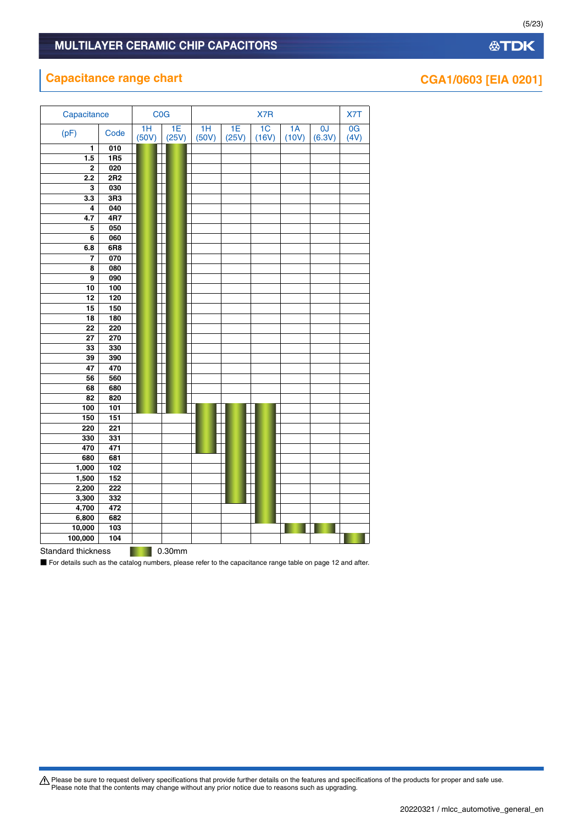# **Capacitance range chart CGA1/0603** [EIA 0201]

| COG<br>Capacitance |                  |             |             |             | X7T         |             |             |              |            |
|--------------------|------------------|-------------|-------------|-------------|-------------|-------------|-------------|--------------|------------|
| (pF)               | Code             | 1H<br>(50V) | 1E<br>(25V) | 1H<br>(50V) | 1E<br>(25V) | 1C<br>(16V) | 1A<br>(10V) | 0J<br>(6.3V) | 0G<br>(4V) |
| 1                  | 010              |             |             |             |             |             |             |              |            |
| 1.5                | 1R5              |             |             |             |             |             |             |              |            |
| $\mathbf 2$        | 020              |             |             |             |             |             |             |              |            |
| 2.2                | 2R2              |             |             |             |             |             |             |              |            |
| 3                  | 030              |             |             |             |             |             |             |              |            |
| 3.3                | 3R3              |             |             |             |             |             |             |              |            |
| 4                  | 040              |             |             |             |             |             |             |              |            |
| 4.7                | 4R7              |             |             |             |             |             |             |              |            |
| 5                  | 050              |             |             |             |             |             |             |              |            |
| 6                  | 060              |             |             |             |             |             |             |              |            |
| 6.8                | 6R8              |             |             |             |             |             |             |              |            |
| 7                  | 070              |             |             |             |             |             |             |              |            |
| 8                  | 080              |             |             |             |             |             |             |              |            |
| 9                  | 090              |             |             |             |             |             |             |              |            |
| $\overline{10}$    | 100              |             |             |             |             |             |             |              |            |
| 12                 | 120              |             |             |             |             |             |             |              |            |
| 15                 | 150              |             |             |             |             |             |             |              |            |
| 18                 | 180              |             |             |             |             |             |             |              |            |
| $\overline{22}$    | 220              |             |             |             |             |             |             |              |            |
| $\overline{27}$    | 270              |             |             |             |             |             |             |              |            |
| 33                 | 330              |             |             |             |             |             |             |              |            |
| 39                 | 390              |             |             |             |             |             |             |              |            |
| 47                 | 470              |             |             |             |             |             |             |              |            |
| 56                 | 560              |             |             |             |             |             |             |              |            |
| 68                 | 680              |             |             |             |             |             |             |              |            |
| 82                 | 820              |             |             |             |             |             |             |              |            |
| 100<br>150         | 101<br>151       |             |             |             |             |             |             |              |            |
|                    | $\overline{221}$ |             |             |             |             |             |             |              |            |
| 220<br>330         | 331              |             |             |             |             |             |             |              |            |
| 470                | 471              |             |             |             |             |             |             |              |            |
| 680                | 681              |             |             |             |             |             |             |              |            |
| 1,000              | 102              |             |             |             |             |             |             |              |            |
| 1,500              | 152              |             |             |             |             |             |             |              |            |
| 2,200              | 222              |             |             |             |             |             |             |              |            |
| 3,300              | 332              |             |             |             |             |             |             |              |            |
| 4,700              | 472              |             |             |             |             |             |             |              |            |
| 6,800              | 682              |             |             |             |             |             |             |              |            |
| 10,000             | 103              |             |             |             |             |             |             |              |            |
| 100,000            | 104              |             |             |             |             |             |             |              |            |
| Otampland this los |                  |             | 0.22        |             |             |             |             |              |            |

Standard thickness **1997** 0.30mm

■ For details such as the catalog numbers, please refer to the capacitance range table on page 12 and after.

Please be sure to request delivery specifications that provide further details on the features and specifications of the products for proper and safe use.<br>Please note that the contents may change without any prior notice d

(5/23)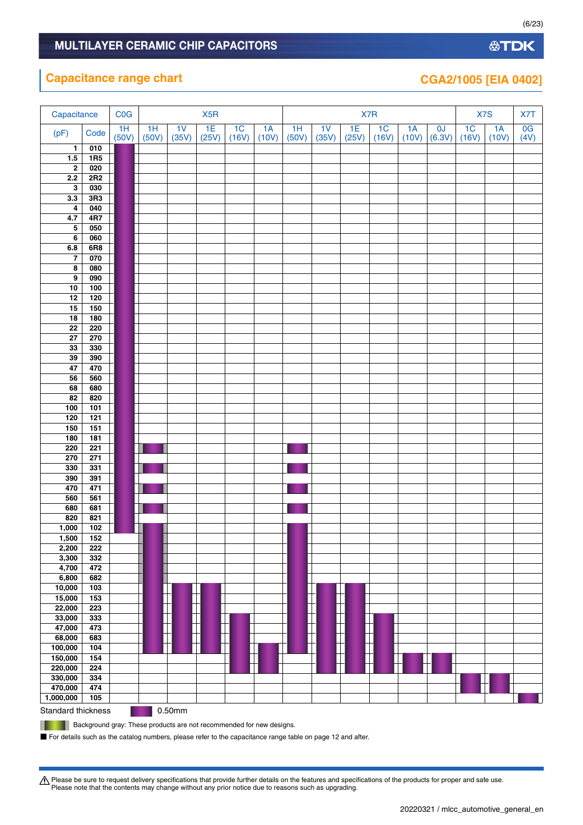| <b>Capacitance range chart</b> |      |             |  |     |  |     |  | CGA2/1005 [EIA 0402] |  |  |
|--------------------------------|------|-------------|--|-----|--|-----|--|----------------------|--|--|
|                                |      |             |  |     |  |     |  |                      |  |  |
| Capacitance                    | COG  | X5R         |  |     |  | X7R |  | X7S                  |  |  |
|                                | ____ | ___<br>____ |  | ___ |  |     |  |                      |  |  |

| $\mathbf{1}$<br>1R5<br>1.5<br>$\overline{\mathbf{2}}$<br>020<br>2R2<br>2.2<br>$\overline{\mathbf{3}}$<br>030<br>3R3<br>3.3<br>040<br>$\pmb{4}$<br>4R7<br>4.7<br>$\overline{\mathbf{5}}$<br>050<br>060<br>$\bf 6$<br>6R8<br>$\bf 6.8$<br>$\overline{7}$<br>070<br>080<br>8<br>$\overline{\mathbf{9}}$<br>090<br>100<br>10<br>$\frac{1}{120}$<br>12<br>150<br>15<br>180<br>18<br>220<br>$\overline{22}$<br>270<br>${\bf 27}$<br>33<br>330<br>390<br>39<br>47<br>470<br>560<br>56<br>680<br>68<br>$\overline{82}$<br>820<br>100<br>101<br>121<br>120<br>150<br>$\frac{151}{151}$<br>181<br>180<br>220<br>$\overline{221}$<br>270<br>271<br>331<br>330<br>391<br>390<br>470<br>471<br>560<br>561<br>681<br>680<br>820<br>821<br>102<br>1,000<br>1,500<br>152<br>222<br>2,200<br>3,300<br>332<br>4,700<br>472<br>6,800<br>682<br> <br> <br> <br> <br> <br> <br>10,000<br>103<br>15,000<br>153<br>22,000<br>223<br>┼┼<br>33,000<br>333<br>$\overline{\phantom{a}}$<br>$\frac{1}{1}$<br>$\top$<br>47,000<br>473<br>68,000<br>683<br>104<br>100,000<br>⊺<br>150,000<br>$\mathbf{I}$<br>154<br>220,000<br>224<br>330,000<br>334<br>470,000<br>474 | (pF)      | Code | $1H$<br>(50V) | 1H<br>(50V) | 1 <sup>V</sup><br>(35V) | 1E<br>(25V) | 1 <sup>C</sup><br>(16V) | 1A<br>(10V) | 1H<br>(50V) | 1 <sub>V</sub><br>(35V) | 1E<br>(25V) | 1 <sup>C</sup><br>(16V) | 1A<br>(10V) | 0J<br>(6.3V) | 1 <sup>C</sup><br>(16V) | 1A<br>(10V) | 0G<br>(4V) |
|------------------------------------------------------------------------------------------------------------------------------------------------------------------------------------------------------------------------------------------------------------------------------------------------------------------------------------------------------------------------------------------------------------------------------------------------------------------------------------------------------------------------------------------------------------------------------------------------------------------------------------------------------------------------------------------------------------------------------------------------------------------------------------------------------------------------------------------------------------------------------------------------------------------------------------------------------------------------------------------------------------------------------------------------------------------------------------------------------------------------------------------|-----------|------|---------------|-------------|-------------------------|-------------|-------------------------|-------------|-------------|-------------------------|-------------|-------------------------|-------------|--------------|-------------------------|-------------|------------|
|                                                                                                                                                                                                                                                                                                                                                                                                                                                                                                                                                                                                                                                                                                                                                                                                                                                                                                                                                                                                                                                                                                                                          |           | 010  |               |             |                         |             |                         |             |             |                         |             |                         |             |              |                         |             |            |
|                                                                                                                                                                                                                                                                                                                                                                                                                                                                                                                                                                                                                                                                                                                                                                                                                                                                                                                                                                                                                                                                                                                                          |           |      |               |             |                         |             |                         |             |             |                         |             |                         |             |              |                         |             |            |
|                                                                                                                                                                                                                                                                                                                                                                                                                                                                                                                                                                                                                                                                                                                                                                                                                                                                                                                                                                                                                                                                                                                                          |           |      |               |             |                         |             |                         |             |             |                         |             |                         |             |              |                         |             |            |
|                                                                                                                                                                                                                                                                                                                                                                                                                                                                                                                                                                                                                                                                                                                                                                                                                                                                                                                                                                                                                                                                                                                                          |           |      |               |             |                         |             |                         |             |             |                         |             |                         |             |              |                         |             |            |
|                                                                                                                                                                                                                                                                                                                                                                                                                                                                                                                                                                                                                                                                                                                                                                                                                                                                                                                                                                                                                                                                                                                                          |           |      |               |             |                         |             |                         |             |             |                         |             |                         |             |              |                         |             |            |
|                                                                                                                                                                                                                                                                                                                                                                                                                                                                                                                                                                                                                                                                                                                                                                                                                                                                                                                                                                                                                                                                                                                                          |           |      |               |             |                         |             |                         |             |             |                         |             |                         |             |              |                         |             |            |
|                                                                                                                                                                                                                                                                                                                                                                                                                                                                                                                                                                                                                                                                                                                                                                                                                                                                                                                                                                                                                                                                                                                                          |           |      |               |             |                         |             |                         |             |             |                         |             |                         |             |              |                         |             |            |
|                                                                                                                                                                                                                                                                                                                                                                                                                                                                                                                                                                                                                                                                                                                                                                                                                                                                                                                                                                                                                                                                                                                                          |           |      |               |             |                         |             |                         |             |             |                         |             |                         |             |              |                         |             |            |
|                                                                                                                                                                                                                                                                                                                                                                                                                                                                                                                                                                                                                                                                                                                                                                                                                                                                                                                                                                                                                                                                                                                                          |           |      |               |             |                         |             |                         |             |             |                         |             |                         |             |              |                         |             |            |
|                                                                                                                                                                                                                                                                                                                                                                                                                                                                                                                                                                                                                                                                                                                                                                                                                                                                                                                                                                                                                                                                                                                                          |           |      |               |             |                         |             |                         |             |             |                         |             |                         |             |              |                         |             |            |
|                                                                                                                                                                                                                                                                                                                                                                                                                                                                                                                                                                                                                                                                                                                                                                                                                                                                                                                                                                                                                                                                                                                                          |           |      |               |             |                         |             |                         |             |             |                         |             |                         |             |              |                         |             |            |
|                                                                                                                                                                                                                                                                                                                                                                                                                                                                                                                                                                                                                                                                                                                                                                                                                                                                                                                                                                                                                                                                                                                                          |           |      |               |             |                         |             |                         |             |             |                         |             |                         |             |              |                         |             |            |
|                                                                                                                                                                                                                                                                                                                                                                                                                                                                                                                                                                                                                                                                                                                                                                                                                                                                                                                                                                                                                                                                                                                                          |           |      |               |             |                         |             |                         |             |             |                         |             |                         |             |              |                         |             |            |
|                                                                                                                                                                                                                                                                                                                                                                                                                                                                                                                                                                                                                                                                                                                                                                                                                                                                                                                                                                                                                                                                                                                                          |           |      |               |             |                         |             |                         |             |             |                         |             |                         |             |              |                         |             |            |
|                                                                                                                                                                                                                                                                                                                                                                                                                                                                                                                                                                                                                                                                                                                                                                                                                                                                                                                                                                                                                                                                                                                                          |           |      |               |             |                         |             |                         |             |             |                         |             |                         |             |              |                         |             |            |
|                                                                                                                                                                                                                                                                                                                                                                                                                                                                                                                                                                                                                                                                                                                                                                                                                                                                                                                                                                                                                                                                                                                                          |           |      |               |             |                         |             |                         |             |             |                         |             |                         |             |              |                         |             |            |
|                                                                                                                                                                                                                                                                                                                                                                                                                                                                                                                                                                                                                                                                                                                                                                                                                                                                                                                                                                                                                                                                                                                                          |           |      |               |             |                         |             |                         |             |             |                         |             |                         |             |              |                         |             |            |
|                                                                                                                                                                                                                                                                                                                                                                                                                                                                                                                                                                                                                                                                                                                                                                                                                                                                                                                                                                                                                                                                                                                                          |           |      |               |             |                         |             |                         |             |             |                         |             |                         |             |              |                         |             |            |
|                                                                                                                                                                                                                                                                                                                                                                                                                                                                                                                                                                                                                                                                                                                                                                                                                                                                                                                                                                                                                                                                                                                                          |           |      |               |             |                         |             |                         |             |             |                         |             |                         |             |              |                         |             |            |
|                                                                                                                                                                                                                                                                                                                                                                                                                                                                                                                                                                                                                                                                                                                                                                                                                                                                                                                                                                                                                                                                                                                                          |           |      |               |             |                         |             |                         |             |             |                         |             |                         |             |              |                         |             |            |
|                                                                                                                                                                                                                                                                                                                                                                                                                                                                                                                                                                                                                                                                                                                                                                                                                                                                                                                                                                                                                                                                                                                                          |           |      |               |             |                         |             |                         |             |             |                         |             |                         |             |              |                         |             |            |
|                                                                                                                                                                                                                                                                                                                                                                                                                                                                                                                                                                                                                                                                                                                                                                                                                                                                                                                                                                                                                                                                                                                                          |           |      |               |             |                         |             |                         |             |             |                         |             |                         |             |              |                         |             |            |
|                                                                                                                                                                                                                                                                                                                                                                                                                                                                                                                                                                                                                                                                                                                                                                                                                                                                                                                                                                                                                                                                                                                                          |           |      |               |             |                         |             |                         |             |             |                         |             |                         |             |              |                         |             |            |
|                                                                                                                                                                                                                                                                                                                                                                                                                                                                                                                                                                                                                                                                                                                                                                                                                                                                                                                                                                                                                                                                                                                                          |           |      |               |             |                         |             |                         |             |             |                         |             |                         |             |              |                         |             |            |
|                                                                                                                                                                                                                                                                                                                                                                                                                                                                                                                                                                                                                                                                                                                                                                                                                                                                                                                                                                                                                                                                                                                                          |           |      |               |             |                         |             |                         |             |             |                         |             |                         |             |              |                         |             |            |
|                                                                                                                                                                                                                                                                                                                                                                                                                                                                                                                                                                                                                                                                                                                                                                                                                                                                                                                                                                                                                                                                                                                                          |           |      |               |             |                         |             |                         |             |             |                         |             |                         |             |              |                         |             |            |
|                                                                                                                                                                                                                                                                                                                                                                                                                                                                                                                                                                                                                                                                                                                                                                                                                                                                                                                                                                                                                                                                                                                                          |           |      |               |             |                         |             |                         |             |             |                         |             |                         |             |              |                         |             |            |
|                                                                                                                                                                                                                                                                                                                                                                                                                                                                                                                                                                                                                                                                                                                                                                                                                                                                                                                                                                                                                                                                                                                                          |           |      |               |             |                         |             |                         |             |             |                         |             |                         |             |              |                         |             |            |
|                                                                                                                                                                                                                                                                                                                                                                                                                                                                                                                                                                                                                                                                                                                                                                                                                                                                                                                                                                                                                                                                                                                                          |           |      |               |             |                         |             |                         |             |             |                         |             |                         |             |              |                         |             |            |
|                                                                                                                                                                                                                                                                                                                                                                                                                                                                                                                                                                                                                                                                                                                                                                                                                                                                                                                                                                                                                                                                                                                                          |           |      |               |             |                         |             |                         |             |             |                         |             |                         |             |              |                         |             |            |
|                                                                                                                                                                                                                                                                                                                                                                                                                                                                                                                                                                                                                                                                                                                                                                                                                                                                                                                                                                                                                                                                                                                                          |           |      |               |             |                         |             |                         |             |             |                         |             |                         |             |              |                         |             |            |
|                                                                                                                                                                                                                                                                                                                                                                                                                                                                                                                                                                                                                                                                                                                                                                                                                                                                                                                                                                                                                                                                                                                                          |           |      |               |             |                         |             |                         |             |             |                         |             |                         |             |              |                         |             |            |
|                                                                                                                                                                                                                                                                                                                                                                                                                                                                                                                                                                                                                                                                                                                                                                                                                                                                                                                                                                                                                                                                                                                                          |           |      |               |             |                         |             |                         |             |             |                         |             |                         |             |              |                         |             |            |
|                                                                                                                                                                                                                                                                                                                                                                                                                                                                                                                                                                                                                                                                                                                                                                                                                                                                                                                                                                                                                                                                                                                                          |           |      |               |             |                         |             |                         |             |             |                         |             |                         |             |              |                         |             |            |
|                                                                                                                                                                                                                                                                                                                                                                                                                                                                                                                                                                                                                                                                                                                                                                                                                                                                                                                                                                                                                                                                                                                                          |           |      |               |             |                         |             |                         |             |             |                         |             |                         |             |              |                         |             |            |
|                                                                                                                                                                                                                                                                                                                                                                                                                                                                                                                                                                                                                                                                                                                                                                                                                                                                                                                                                                                                                                                                                                                                          |           |      |               |             |                         |             |                         |             |             |                         |             |                         |             |              |                         |             |            |
|                                                                                                                                                                                                                                                                                                                                                                                                                                                                                                                                                                                                                                                                                                                                                                                                                                                                                                                                                                                                                                                                                                                                          |           |      |               |             |                         |             |                         |             |             |                         |             |                         |             |              |                         |             |            |
|                                                                                                                                                                                                                                                                                                                                                                                                                                                                                                                                                                                                                                                                                                                                                                                                                                                                                                                                                                                                                                                                                                                                          |           |      |               |             |                         |             |                         |             |             |                         |             |                         |             |              |                         |             |            |
|                                                                                                                                                                                                                                                                                                                                                                                                                                                                                                                                                                                                                                                                                                                                                                                                                                                                                                                                                                                                                                                                                                                                          |           |      |               |             |                         |             |                         |             |             |                         |             |                         |             |              |                         |             |            |
|                                                                                                                                                                                                                                                                                                                                                                                                                                                                                                                                                                                                                                                                                                                                                                                                                                                                                                                                                                                                                                                                                                                                          |           |      |               |             |                         |             |                         |             |             |                         |             |                         |             |              |                         |             |            |
|                                                                                                                                                                                                                                                                                                                                                                                                                                                                                                                                                                                                                                                                                                                                                                                                                                                                                                                                                                                                                                                                                                                                          |           |      |               |             |                         |             |                         |             |             |                         |             |                         |             |              |                         |             |            |
|                                                                                                                                                                                                                                                                                                                                                                                                                                                                                                                                                                                                                                                                                                                                                                                                                                                                                                                                                                                                                                                                                                                                          |           |      |               |             |                         |             |                         |             |             |                         |             |                         |             |              |                         |             |            |
|                                                                                                                                                                                                                                                                                                                                                                                                                                                                                                                                                                                                                                                                                                                                                                                                                                                                                                                                                                                                                                                                                                                                          |           |      |               |             |                         |             |                         |             |             |                         |             |                         |             |              |                         |             |            |
|                                                                                                                                                                                                                                                                                                                                                                                                                                                                                                                                                                                                                                                                                                                                                                                                                                                                                                                                                                                                                                                                                                                                          |           |      |               |             |                         |             |                         |             |             |                         |             |                         |             |              |                         |             |            |
|                                                                                                                                                                                                                                                                                                                                                                                                                                                                                                                                                                                                                                                                                                                                                                                                                                                                                                                                                                                                                                                                                                                                          |           |      |               |             |                         |             |                         |             |             |                         |             |                         |             |              |                         |             |            |
|                                                                                                                                                                                                                                                                                                                                                                                                                                                                                                                                                                                                                                                                                                                                                                                                                                                                                                                                                                                                                                                                                                                                          |           |      |               |             |                         |             |                         |             |             |                         |             |                         |             |              |                         |             |            |
|                                                                                                                                                                                                                                                                                                                                                                                                                                                                                                                                                                                                                                                                                                                                                                                                                                                                                                                                                                                                                                                                                                                                          |           |      |               |             |                         |             |                         |             |             |                         |             |                         |             |              |                         |             |            |
|                                                                                                                                                                                                                                                                                                                                                                                                                                                                                                                                                                                                                                                                                                                                                                                                                                                                                                                                                                                                                                                                                                                                          |           |      |               |             |                         |             |                         |             |             |                         |             |                         |             |              |                         |             |            |
|                                                                                                                                                                                                                                                                                                                                                                                                                                                                                                                                                                                                                                                                                                                                                                                                                                                                                                                                                                                                                                                                                                                                          |           |      |               |             |                         |             |                         |             |             |                         |             |                         |             |              |                         |             |            |
|                                                                                                                                                                                                                                                                                                                                                                                                                                                                                                                                                                                                                                                                                                                                                                                                                                                                                                                                                                                                                                                                                                                                          |           |      |               |             |                         |             |                         |             |             |                         |             |                         |             |              |                         |             |            |
|                                                                                                                                                                                                                                                                                                                                                                                                                                                                                                                                                                                                                                                                                                                                                                                                                                                                                                                                                                                                                                                                                                                                          |           |      |               |             |                         |             |                         |             |             |                         |             |                         |             |              |                         |             |            |
|                                                                                                                                                                                                                                                                                                                                                                                                                                                                                                                                                                                                                                                                                                                                                                                                                                                                                                                                                                                                                                                                                                                                          |           |      |               |             |                         |             |                         |             |             |                         |             |                         |             |              |                         |             |            |
|                                                                                                                                                                                                                                                                                                                                                                                                                                                                                                                                                                                                                                                                                                                                                                                                                                                                                                                                                                                                                                                                                                                                          |           |      |               |             |                         |             |                         |             |             |                         |             |                         |             |              |                         |             |            |
|                                                                                                                                                                                                                                                                                                                                                                                                                                                                                                                                                                                                                                                                                                                                                                                                                                                                                                                                                                                                                                                                                                                                          | 1,000,000 | 105  |               |             |                         |             |                         |             |             |                         |             |                         |             |              |                         |             |            |
| 0.50mm<br>Standard thickness                                                                                                                                                                                                                                                                                                                                                                                                                                                                                                                                                                                                                                                                                                                                                                                                                                                                                                                                                                                                                                                                                                             |           |      |               |             |                         |             |                         |             |             |                         |             |                         |             |              |                         |             |            |

Background gray: These products are not recommended for new designs.

ш

■ For details such as the catalog numbers, please refer to the capacitance range table on page 12 and after.

Please be sure to request delivery specifications that provide further details on the features and specifications of the products for proper and safe use.<br>Please note that the contents may change without any prior notice d

(6/23)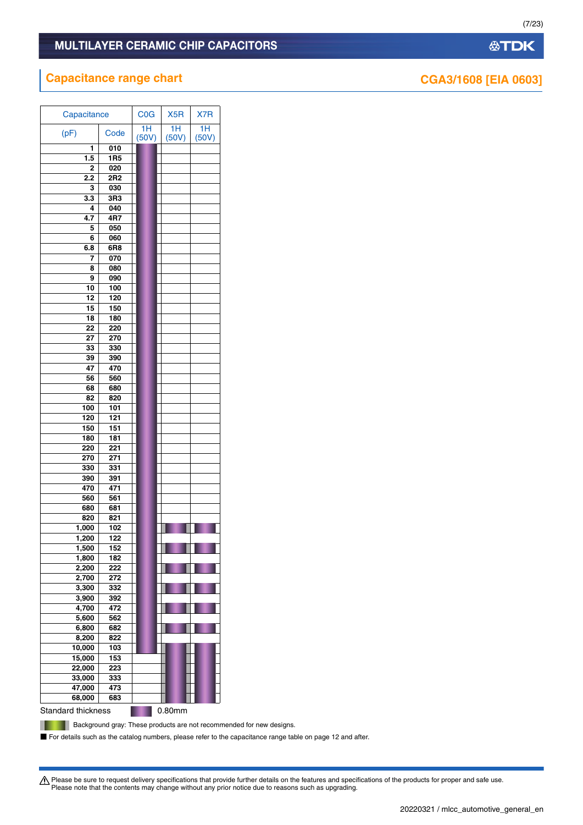# MULTILAYER CERAMIC CHIP CAPACITORS

# **Capacitance range chart CGA3/1608 [EIA 0603]**

| Capacitance        |                 | C <sub>0</sub> G | X <sub>5</sub> R | X7R         |
|--------------------|-----------------|------------------|------------------|-------------|
| (pF)               | Code            | 1H<br>(50V)      | 1H<br>(50V)      | 1H<br>(50V) |
| 1                  | 010             |                  |                  |             |
| 1.5                | 1R <sub>5</sub> |                  |                  |             |
| 2                  | 020             |                  |                  |             |
| 2.2                | 2R2             |                  |                  |             |
| 3                  | 030             |                  |                  |             |
| 3.3                | 3R3             |                  |                  |             |
| 4                  | 040             |                  |                  |             |
| 4.7                | 4R7             |                  |                  |             |
| 5                  | 050             |                  |                  |             |
| 6                  | 060             |                  |                  |             |
| 6.8                | 6R8             |                  |                  |             |
| 7                  | 070             |                  |                  |             |
| 8                  | 080             |                  |                  |             |
| 9                  | 090             |                  |                  |             |
| 10                 | 100             |                  |                  |             |
| 12                 | 120             |                  |                  |             |
| 15                 | 150             |                  |                  |             |
| 18                 | 180             |                  |                  |             |
| 22                 | 220             |                  |                  |             |
| 27                 | 270             |                  |                  |             |
| 33                 | 330             |                  |                  |             |
| 39                 | 390             |                  |                  |             |
| 47                 | 470             |                  |                  |             |
| 56                 | 560             |                  |                  |             |
| 68                 | 680             |                  |                  |             |
| 82                 | 820             |                  |                  |             |
| 100                | 101             |                  |                  |             |
| 120                | 121             |                  |                  |             |
| 150                | 151             |                  |                  |             |
| 180                | 181             |                  |                  |             |
| 220                | 221             |                  |                  |             |
| 270                | 271             |                  |                  |             |
| 330                | 331             |                  |                  |             |
| 390                | 391             |                  |                  |             |
| 470                | 471             |                  |                  |             |
| 560                | 561             |                  |                  |             |
| 680                | 681             |                  |                  |             |
| 820                | 821             |                  |                  |             |
| 1,000              | 102             |                  |                  |             |
| 1,200              | 122             |                  |                  |             |
| 1,500              | 152             |                  |                  |             |
| 1,800              | 182             |                  |                  |             |
| 2,200              | 222             |                  |                  |             |
| 2,700              | 272             |                  |                  |             |
| 3,300              | 332             |                  |                  |             |
| 3,900              | 392             |                  |                  |             |
| 4,700              | 472             |                  |                  |             |
| 5,600              | 562             |                  |                  |             |
| 6,800              | 682             |                  |                  |             |
| 8,200              | 822             |                  |                  |             |
| 10,000             | 103             |                  |                  |             |
| 15,000             | 153             |                  |                  |             |
| 22,000             | 223             |                  |                  |             |
| 33,000             | 333             |                  |                  |             |
| 47,000             | 473             |                  |                  |             |
| 68,000             | 683             |                  |                  |             |
|                    |                 |                  |                  |             |
| Standard thickness |                 |                  | 0.80mm           |             |

**Background gray: These products are not recommended for new designs.** 

■ For details such as the catalog numbers, please refer to the capacitance range table on page 12 and after.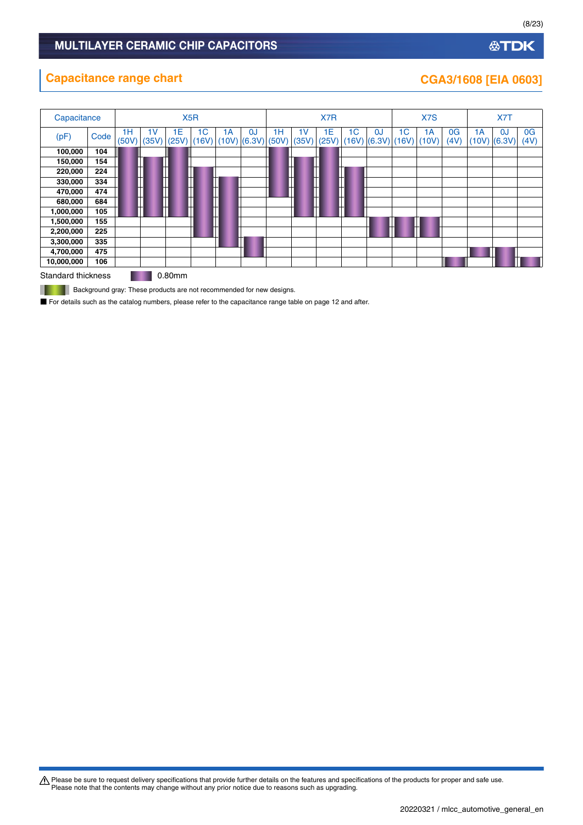# **公TDK**

# **Capacitance range chart CGA3/1608 [EIA 0603]**

| Capacitance        |      | X <sub>5</sub> R |                         |             |                         |              | X7R                    |             |             |             | X <sub>7</sub> S |                                    |                         | X7T         |                        |            |              |                        |
|--------------------|------|------------------|-------------------------|-------------|-------------------------|--------------|------------------------|-------------|-------------|-------------|------------------|------------------------------------|-------------------------|-------------|------------------------|------------|--------------|------------------------|
| (pF)               | Code | 1H<br>(50V)      | 1 <sub>V</sub><br>(35V) | 1E<br>(25V) | 1 <sup>C</sup><br>(16V) | 1А           | 0J<br>$(10V)$ $(6.3V)$ | 1H<br>(50V) | 1V<br>(35V) | ۱E<br>(25V) | 1 <sup>C</sup>   | <sub>0</sub> J<br>$(16V)$ $(6.3V)$ | 1 <sup>C</sup><br>(16V) | 1A<br>(10V) | 0 <sub>G</sub><br>(4V) | 1A<br>10V) | 0J<br>(6.3V) | 0 <sub>G</sub><br>(4V) |
| 100,000            | 104  |                  |                         |             |                         |              |                        |             |             |             |                  |                                    |                         |             |                        |            |              |                        |
| 150,000            | 154  |                  |                         |             |                         |              |                        |             |             |             |                  |                                    |                         |             |                        |            |              |                        |
| 220,000            | 224  |                  | m                       |             |                         |              |                        |             | ┞<br>Ш      |             |                  |                                    |                         |             |                        |            |              |                        |
| 330,000            | 334  |                  | ╫                       |             | П                       |              |                        |             | ┯           | ╫           | н                |                                    |                         |             |                        |            |              |                        |
| 470,000            | 474  |                  | m                       |             | H                       |              |                        |             |             |             |                  |                                    |                         |             |                        |            |              |                        |
| 680,000            | 684  |                  | ┭                       |             | ┯                       |              |                        |             | ┯           |             | ┯                |                                    |                         |             |                        |            |              |                        |
| 1,000,000          | 105  |                  |                         |             |                         | <br> -<br> - |                        |             |             |             |                  |                                    |                         |             |                        |            |              |                        |
| 1,500,000          | 155  |                  |                         |             |                         |              |                        |             |             |             |                  |                                    |                         |             |                        |            |              |                        |
| 2,200,000          | 225  |                  |                         |             |                         |              |                        |             |             |             |                  |                                    |                         |             |                        |            |              |                        |
| 3,300,000          | 335  |                  |                         |             |                         |              |                        |             |             |             |                  |                                    |                         |             |                        |            |              |                        |
| 4,700,000          | 475  |                  |                         |             |                         |              |                        |             |             |             |                  |                                    |                         |             |                        |            |              |                        |
| 10,000,000         | 106  |                  |                         |             |                         |              |                        |             |             |             |                  |                                    |                         |             |                        |            |              |                        |
| Standard thickness |      |                  |                         | 0.80mm      |                         |              |                        |             |             |             |                  |                                    |                         |             |                        |            |              |                        |

**Background gray: These products are not recommended for new designs.** 

■ For details such as the catalog numbers, please refer to the capacitance range table on page 12 and after.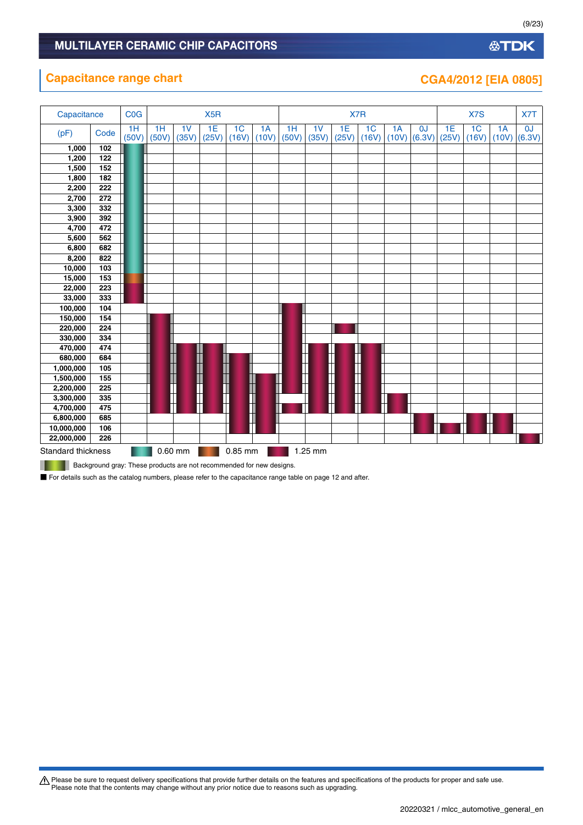# **Capacitance range chart CGA4/2012 [EIA 0805]**

| Capacitance               |      | <b>C<sub>O</sub></b> G |             |                         | X <sub>5</sub> R |                         |             |             |             | X7R         |                         |             |              |             | X7S                     |             | X7T          |
|---------------------------|------|------------------------|-------------|-------------------------|------------------|-------------------------|-------------|-------------|-------------|-------------|-------------------------|-------------|--------------|-------------|-------------------------|-------------|--------------|
| (pF)                      | Code | 1H<br>(50V)            | 1H<br>(50V) | 1 <sub>V</sub><br>(35V) | 1E<br>(25V)      | 1 <sub>C</sub><br>(16V) | 1A<br>(10V) | 1H<br>(50V) | 1V<br>(35V) | 1E<br>(25V) | 1 <sub>C</sub><br>(16V) | 1A<br>(10V) | 0J<br>(6.3V) | 1E<br>(25V) | 1 <sub>C</sub><br>(16V) | 1A<br>(10V) | 0J<br>(6.3V) |
| 1,000                     | 102  |                        |             |                         |                  |                         |             |             |             |             |                         |             |              |             |                         |             |              |
| 1,200                     | 122  |                        |             |                         |                  |                         |             |             |             |             |                         |             |              |             |                         |             |              |
| 1,500                     | 152  |                        |             |                         |                  |                         |             |             |             |             |                         |             |              |             |                         |             |              |
| 1,800                     | 182  |                        |             |                         |                  |                         |             |             |             |             |                         |             |              |             |                         |             |              |
| 2,200                     | 222  |                        |             |                         |                  |                         |             |             |             |             |                         |             |              |             |                         |             |              |
| 2,700                     | 272  |                        |             |                         |                  |                         |             |             |             |             |                         |             |              |             |                         |             |              |
| 3,300                     | 332  |                        |             |                         |                  |                         |             |             |             |             |                         |             |              |             |                         |             |              |
| 3,900                     | 392  |                        |             |                         |                  |                         |             |             |             |             |                         |             |              |             |                         |             |              |
| 4,700                     | 472  |                        |             |                         |                  |                         |             |             |             |             |                         |             |              |             |                         |             |              |
| 5,600                     | 562  |                        |             |                         |                  |                         |             |             |             |             |                         |             |              |             |                         |             |              |
| 6,800                     | 682  |                        |             |                         |                  |                         |             |             |             |             |                         |             |              |             |                         |             |              |
| 8,200                     | 822  |                        |             |                         |                  |                         |             |             |             |             |                         |             |              |             |                         |             |              |
| 10,000                    | 103  |                        |             |                         |                  |                         |             |             |             |             |                         |             |              |             |                         |             |              |
| 15,000                    | 153  |                        |             |                         |                  |                         |             |             |             |             |                         |             |              |             |                         |             |              |
| 22,000                    | 223  |                        |             |                         |                  |                         |             |             |             |             |                         |             |              |             |                         |             |              |
| 33,000                    | 333  |                        |             |                         |                  |                         |             |             |             |             |                         |             |              |             |                         |             |              |
| 100,000                   | 104  |                        |             |                         |                  |                         |             |             |             |             |                         |             |              |             |                         |             |              |
| 150,000                   | 154  |                        |             |                         |                  |                         |             |             |             |             |                         |             |              |             |                         |             |              |
| 220,000                   | 224  |                        |             |                         |                  |                         |             |             |             |             |                         |             |              |             |                         |             |              |
| 330,000                   | 334  |                        |             |                         |                  |                         |             |             |             |             |                         |             |              |             |                         |             |              |
| 470,000                   | 474  |                        |             |                         |                  |                         |             |             |             |             |                         |             |              |             |                         |             |              |
| 680,000                   | 684  |                        |             |                         |                  |                         |             |             |             |             |                         |             |              |             |                         |             |              |
| 1,000,000                 | 105  |                        |             |                         |                  |                         |             |             |             |             |                         |             |              |             |                         |             |              |
| 1,500,000                 | 155  |                        |             |                         |                  |                         |             |             |             |             |                         |             |              |             |                         |             |              |
| 2,200,000                 | 225  |                        |             |                         |                  |                         |             |             |             |             |                         |             |              |             |                         |             |              |
| 3,300,000                 | 335  |                        |             |                         |                  |                         |             |             |             |             |                         |             |              |             |                         |             |              |
| 4,700,000                 | 475  |                        |             |                         |                  |                         |             |             |             |             |                         |             |              |             |                         |             |              |
| 6,800,000                 | 685  |                        |             |                         |                  |                         |             |             |             |             |                         |             |              |             |                         |             |              |
| 10,000,000                | 106  |                        |             |                         |                  |                         |             |             |             |             |                         |             |              |             |                         |             |              |
| 22,000,000                | 226  |                        |             |                         |                  |                         |             |             |             |             |                         |             |              |             |                         |             |              |
| <b>Standard thickness</b> |      |                        |             | $0.60$ mm               |                  | 0.85 mm                 |             |             | 1.25 mm     |             |                         |             |              |             |                         |             |              |

**Background gray: These products are not recommended for new designs.** 

■ For details such as the catalog numbers, please refer to the capacitance range table on page 12 and after.

(9/23)

**公TDK**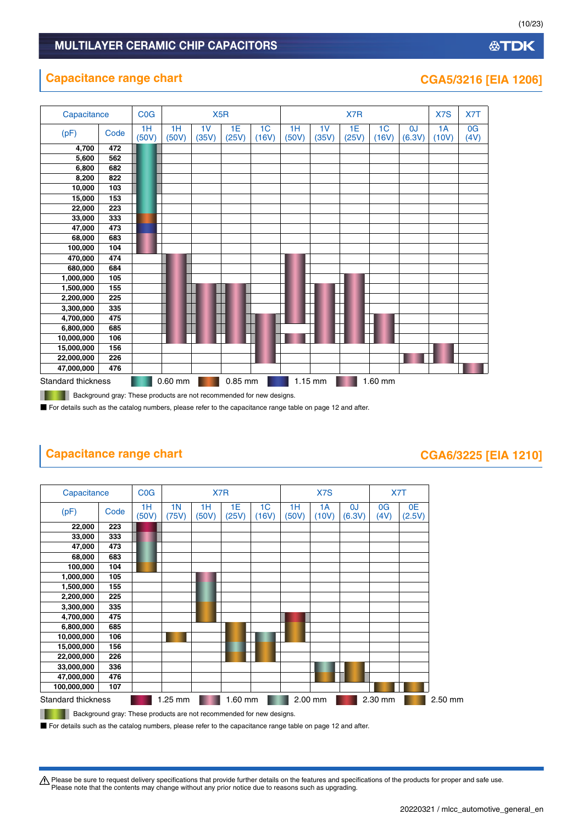# **Capacitance range chart CGA5/3216 [EIA 1206]**



٠ Background gray: These products are not recommended for new designs.

■ For details such as the catalog numbers, please refer to the capacitance range table on page 12 and after.

# **Capacitance range chart CGA6/3225 [EIA 1210]**

| Capacitance        |                                                                      | CO <sub>G</sub> |             |             | X7R         |                         |             | X7S         |              |            | X7T          |         |
|--------------------|----------------------------------------------------------------------|-----------------|-------------|-------------|-------------|-------------------------|-------------|-------------|--------------|------------|--------------|---------|
| (pF)               | Code                                                                 | 1H<br>(50V)     | 1N<br>(75V) | 1H<br>(50V) | 1E<br>(25V) | 1 <sub>C</sub><br>(16V) | 1H<br>(50V) | 1A<br>(10V) | 0J<br>(6.3V) | 0G<br>(4V) | 0E<br>(2.5V) |         |
| 22,000             | 223                                                                  |                 |             |             |             |                         |             |             |              |            |              |         |
| 33,000             | 333                                                                  |                 |             |             |             |                         |             |             |              |            |              |         |
| 47,000             | 473                                                                  |                 |             |             |             |                         |             |             |              |            |              |         |
| 68,000             | 683                                                                  |                 |             |             |             |                         |             |             |              |            |              |         |
| 100,000            | 104                                                                  |                 |             |             |             |                         |             |             |              |            |              |         |
| 1,000,000          | 105                                                                  |                 |             |             |             |                         |             |             |              |            |              |         |
| 1,500,000          | 155                                                                  |                 |             |             |             |                         |             |             |              |            |              |         |
| 2,200,000          | 225                                                                  |                 |             |             |             |                         |             |             |              |            |              |         |
| 3,300,000          | 335                                                                  |                 |             |             |             |                         |             |             |              |            |              |         |
| 4,700,000          | 475                                                                  |                 |             |             |             |                         |             |             |              |            |              |         |
| 6,800,000          | 685                                                                  |                 |             |             |             |                         |             |             |              |            |              |         |
| 10,000,000         | 106                                                                  |                 |             |             |             |                         |             |             |              |            |              |         |
| 15,000,000         | 156                                                                  |                 |             |             |             |                         |             |             |              |            |              |         |
| 22,000,000         | 226                                                                  |                 |             |             |             |                         |             |             |              |            |              |         |
| 33,000,000         | 336                                                                  |                 |             |             |             |                         |             |             |              |            |              |         |
| 47,000,000         | 476                                                                  |                 |             |             |             |                         |             |             |              |            |              |         |
| 100,000,000        | 107                                                                  |                 |             |             |             |                         |             |             |              |            |              |         |
| Standard thickness |                                                                      |                 | 1.25 mm     |             | 1.60 mm     |                         |             | 2.00 mm     |              | 2.30 mm    |              | 2.50 mm |
|                    | Background gray: These products are not recommended for new designs. |                 |             |             |             |                         |             |             |              |            |              |         |

**Background gray: These products are not recommended for new designs.** 

■ For details such as the catalog numbers, please refer to the capacitance range table on page 12 and after.

t Please be sure to request delivery specifications that provide further details on the features and specifications of the products for proper and safe use. Please note that the contents may change without any prior notice due to reasons such as upgrading.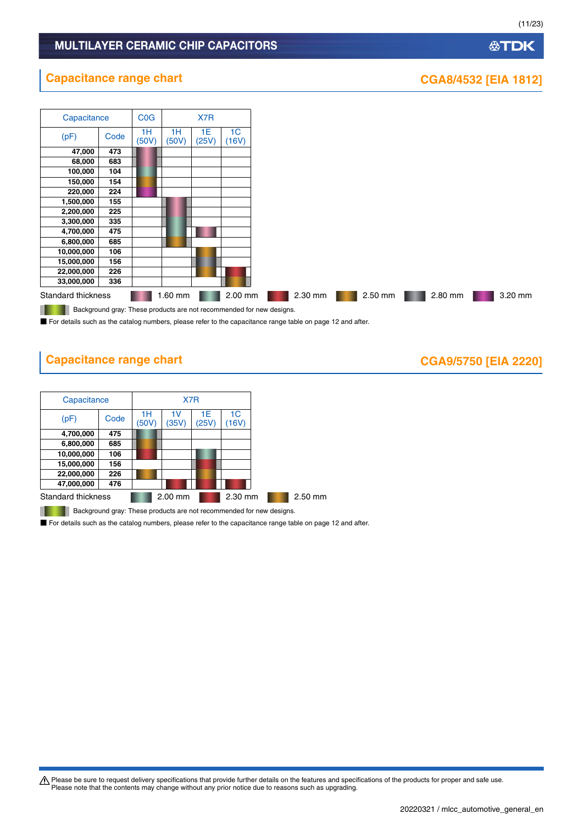# **公TDK**

(11/23)

# **Capacitance range chart CGA8/4532 [EIA 1812]**



■ For details such as the catalog numbers, please refer to the capacitance range table on page 12 and after.

# **Capacitance range chart CASE 100 CGA9/5750 [EIA 2220]**

| Capacitance        |      |             | X7R         |             |            |         |
|--------------------|------|-------------|-------------|-------------|------------|---------|
| (pF)               | Code | 1Н<br>(50V) | 1V<br>(35V) | 1E<br>(25V) | 1C<br>16V) |         |
| 4,700,000          | 475  |             |             |             |            |         |
| 6,800,000          | 685  |             |             |             |            |         |
| 10,000,000         | 106  |             |             |             |            |         |
| 15,000,000         | 156  |             |             |             |            |         |
| 22,000,000         | 226  |             |             |             |            |         |
| 47,000,000         | 476  |             |             |             |            |         |
| Standard thickness |      |             | 2.00 mm     |             | 2.30 mm    | 2.50 mm |

Background gray: These products are not recommended for new designs. ..

■ For details such as the catalog numbers, please refer to the capacitance range table on page 12 and after.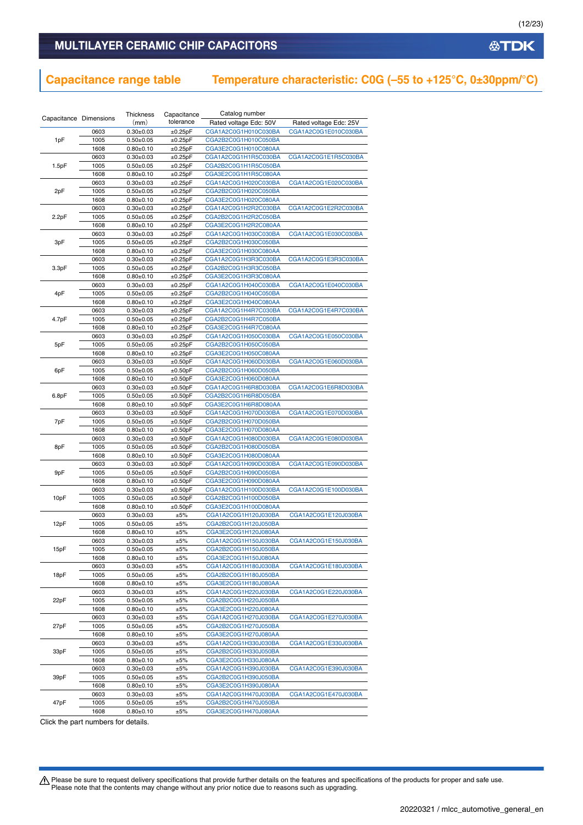# MULTILAYER CERAMIC CHIP CAPACITORS

# **Capacitance range table Temperature characteristic: C0G (–55 to +125°C, 0±30ppm/°C)**

|                        |              | Thickness                          | Capacitance              | Catalog number                               |                        |
|------------------------|--------------|------------------------------------|--------------------------|----------------------------------------------|------------------------|
| Capacitance Dimensions |              | (mm)                               | tolerance                | Rated voltage Edc: 50V                       | Rated voltage Edc: 25V |
|                        | 0603         | $0.30 + 0.03$                      | ±0.25pF                  | CGA1A2C0G1H010C030BA                         | CGA1A2C0G1E010C030BA   |
| 1pF                    | 1005         | $0.50 + 0.05$                      | $\pm 0.25$ pF            | CGA2B2C0G1H010C050BA                         |                        |
|                        | 1608         | $0.80 + 0.10$                      | ±0.25pF                  | CGA3E2C0G1H010C080AA                         |                        |
|                        | 0603         | $0.30 \pm 0.03$                    | ±0.25pF                  | CGA1A2C0G1H1R5C030BA                         | CGA1A2C0G1E1R5C030BA   |
| 1.5pF                  | 1005         | $0.50 + 0.05$                      | ±0.25pF                  | CGA2B2C0G1H1R5C050BA                         |                        |
|                        | 1608         | $0.80 + 0.10$                      | ±0.25pF                  | CGA3E2C0G1H1R5C080AA                         |                        |
|                        | 0603         | $0.30 \pm 0.03$                    | $\pm 0.25$ pF            | CGA1A2C0G1H020C030BA                         | CGA1A2C0G1E020C030BA   |
| 2pF                    | 1005<br>1608 | $0.50 \pm 0.05$<br>$0.80 \pm 0.10$ | $\pm 0.25$ pF<br>±0.25pF | CGA2B2C0G1H020C050BA<br>CGA3E2C0G1H020C080AA |                        |
|                        | 0603         | $0.30 \pm 0.03$                    | ±0.25pF                  | CGA1A2C0G1H2R2C030BA                         | CGA1A2C0G1E2R2C030BA   |
| 2.2pF                  | 1005         | $0.50 + 0.05$                      | ±0.25pF                  | CGA2B2C0G1H2R2C050BA                         |                        |
|                        | 1608         | $0.80 \pm 0.10$                    | $\pm 0.25$ pF            | CGA3E2C0G1H2R2C080AA                         |                        |
|                        | 0603         | $0.30 + 0.03$                      | ±0.25pF                  | CGA1A2C0G1H030C030BA                         | CGA1A2C0G1E030C030BA   |
| 3pF                    | 1005         | $0.50 + 0.05$                      | ±0.25pF                  | CGA2B2C0G1H030C050BA                         |                        |
|                        | 1608         | $0.80 + 0.10$                      | ±0.25pF                  | CGA3E2C0G1H030C080AA                         |                        |
|                        | 0603         | $0.30 \pm 0.03$                    | ±0.25pF                  | CGA1A2C0G1H3R3C030BA                         | CGA1A2C0G1E3R3C030BA   |
| 3.3pF                  | 1005         | $0.50 \pm 0.05$                    | $\pm 0.25$ pF            | CGA2B2C0G1H3R3C050BA                         |                        |
|                        | 1608         | $0.80 \pm 0.10$                    | ±0.25pF                  | CGA3E2C0G1H3R3C080AA                         |                        |
|                        | 0603         | $0.30 \pm 0.03$                    | ±0.25pF                  | CGA1A2C0G1H040C030BA                         | CGA1A2C0G1E040C030BA   |
| 4pF                    | 1005         | $0.50 + 0.05$                      | ±0.25pF                  | CGA2B2C0G1H040C050BA                         |                        |
|                        | 1608         | $0.80 + 0.10$                      | ±0.25pF                  | CGA3E2C0G1H040C080AA                         |                        |
|                        | 0603         | $0.30 + 0.03$                      | $\pm 0.25$ pF            | CGA1A2C0G1H4R7C030BA                         | CGA1A2C0G1E4R7C030BA   |
| 4.7pF                  | 1005         | $0.50 \pm 0.05$                    | ±0.25pF                  | CGA2B2C0G1H4R7C050BA                         |                        |
|                        | 1608         | $0.80 + 0.10$                      | ±0.25pF                  | CGA3E2C0G1H4R7C080AA                         |                        |
|                        | 0603         | $0.30 \pm 0.03$                    | ±0.25pF                  | CGA1A2C0G1H050C030BA                         | CGA1A2C0G1E050C030BA   |
| 5pF                    | 1005         | $0.50 + 0.05$                      | ±0.25pF                  | CGA2B2C0G1H050C050BA                         |                        |
|                        | 1608         | $0.80 \pm 0.10$                    | ±0.25pF                  | CGA3E2C0G1H050C080AA                         |                        |
| 6pF                    | 0603<br>1005 | $0.30 \pm 0.03$<br>$0.50 + 0.05$   | ±0.50pF<br>±0.50pF       | CGA1A2C0G1H060D030BA<br>CGA2B2C0G1H060D050BA | CGA1A2C0G1E060D030BA   |
|                        | 1608         | $0.80 \pm 0.10$                    | ±0.50pF                  | CGA3E2C0G1H060D080AA                         |                        |
|                        | 0603         | $0.30 \pm 0.03$                    | ±0.50pF                  | CGA1A2C0G1H6R8D030BA                         | CGA1A2C0G1E6R8D030BA   |
| 6.8pF                  | 1005         | $0.50 + 0.05$                      | ±0.50pF                  | CGA2B2C0G1H6R8D050BA                         |                        |
|                        | 1608         | $0.80 + 0.10$                      | ±0.50pF                  | CGA3E2C0G1H6R8D080AA                         |                        |
|                        | 0603         | $0.30 \pm 0.03$                    | ±0.50pF                  | CGA1A2C0G1H070D030BA                         | CGA1A2C0G1E070D030BA   |
| 7pF                    | 1005         | $0.50 \pm 0.05$                    | ±0.50pF                  | CGA2B2C0G1H070D050BA                         |                        |
|                        | 1608         | $0.80 + 0.10$                      | ±0.50pF                  | CGA3E2C0G1H070D080AA                         |                        |
|                        | 0603         | $0.30 \pm 0.03$                    | ±0.50pF                  | CGA1A2C0G1H080D030BA                         | CGA1A2C0G1E080D030BA   |
| 8pF                    | 1005         | $0.50 \pm 0.05$                    | ±0.50pF                  | CGA2B2C0G1H080D050BA                         |                        |
|                        | 1608         | $0.80 \pm 0.10$                    | ±0.50pF                  | CGA3E2C0G1H080D080AA                         |                        |
|                        | 0603         | $0.30 \pm 0.03$                    | ±0.50pF                  | CGA1A2C0G1H090D030BA                         | CGA1A2C0G1E090D030BA   |
| 9pF                    | 1005         | $0.50 + 0.05$                      | ±0.50pF                  | CGA2B2C0G1H090D050BA                         |                        |
|                        | 1608         | $0.80 + 0.10$                      | ±0.50pF                  | CGA3E2C0G1H090D080AA                         |                        |
|                        | 0603         | $0.30 + 0.03$                      | ±0.50pF                  | CGA1A2C0G1H100D030BA                         | CGA1A2C0G1E100D030BA   |
| 10pF                   | 1005         | $0.50 \pm 0.05$                    | ±0.50pF                  | CGA2B2C0G1H100D050BA                         |                        |
|                        | 1608<br>0603 | $0.80 \pm 0.10$<br>$0.30 \pm 0.03$ | ±0.50pF<br>±5%           | CGA3E2C0G1H100D080AA<br>CGA1A2C0G1H120J030BA | CGA1A2C0G1E120J030BA   |
| 12pF                   | 1005         | $0.50 + 0.05$                      | ±5%                      | CGA2B2C0G1H120J050BA                         |                        |
|                        | 1608         | $0.80 \pm 0.10$                    | ±5%                      | CGA3E2C0G1H120J080AA                         |                        |
|                        | 0603         | $0.30 + 0.03$                      | ±5%                      | CGA1A2C0G1H150J030BA                         | CGA1A2C0G1E150J030BA   |
| 15pF                   | 1005         | $0.50 \pm 0.05$                    | ±5%                      | CGA2B2C0G1H150J050BA                         |                        |
|                        | 1608         | $0.80 \pm 0.10$                    | ±5%                      | CGA3E2C0G1H150J080AA                         |                        |
|                        | 0603         | $0.30 \pm 0.03$                    | ±5%                      | CGA1A2C0G1H180J030BA                         | CGA1A2C0G1E180J030BA   |
| 18pF                   | 1005         | $0.50 + 0.05$                      | ±5%                      | CGA2B2C0G1H180J050BA                         |                        |
|                        | 1608         | $0.80 \pm 0.10$                    | ±5%                      | CGA3E2C0G1H180J080AA                         |                        |
|                        | 0603         | $0.30 \pm 0.03$                    | ±5%                      | CGA1A2C0G1H220J030BA                         | CGA1A2C0G1E220J030BA   |
| 22pF                   | 1005         | $0.50 \pm 0.05$                    | ±5%                      | CGA2B2C0G1H220J050BA                         |                        |
|                        | 1608         | $0.80 \pm 0.10$                    | ±5%                      | CGA3E2C0G1H220J080AA                         |                        |
|                        | 0603         | $0.30 \pm 0.03$                    | ±5%                      | CGA1A2C0G1H270J030BA                         | CGA1A2C0G1E270J030BA   |
| 27pF                   | 1005         | $0.50 \pm 0.05$                    | ±5%                      | CGA2B2C0G1H270J050BA                         |                        |
|                        | 1608         | $0.80 \pm 0.10$                    | ±5%                      | CGA3E2C0G1H270J080AA                         |                        |
|                        | 0603         | $0.30 \pm 0.03$                    | ±5%                      | CGA1A2C0G1H330J030BA                         | CGA1A2C0G1E330J030BA   |
| 33pF                   | 1005         | $0.50 \pm 0.05$                    | ±5%                      | CGA2B2C0G1H330J050BA                         |                        |
|                        | 1608         | $0.80 \pm 0.10$                    | ±5%                      | CGA3E2C0G1H330J080AA                         |                        |
|                        | 0603         | $0.30 + 0.03$                      | ±5%                      | CGA1A2C0G1H390J030BA                         | CGA1A2C0G1E390J030BA   |
| 39pF                   | 1005         | $0.50 \pm 0.05$                    | ±5%                      | CGA2B2C0G1H390J050BA                         |                        |
|                        | 1608         | $0.80 \pm 0.10$                    | ±5%                      | CGA3E2C0G1H390J080AA                         |                        |
|                        | 0603         | $0.30 \pm 0.03$                    | ±5%                      | CGA1A2C0G1H470J030BA                         | CGA1A2C0G1E470J030BA   |
| 47pF                   | 1005<br>1608 | $0.50 \pm 0.05$                    | ±5%<br>±5%               | CGA2B2C0G1H470J050BA<br>CGA3E2C0G1H470J080AA |                        |
|                        |              | $0.80 \pm 0.10$                    |                          |                                              |                        |

Click the part numbers for details.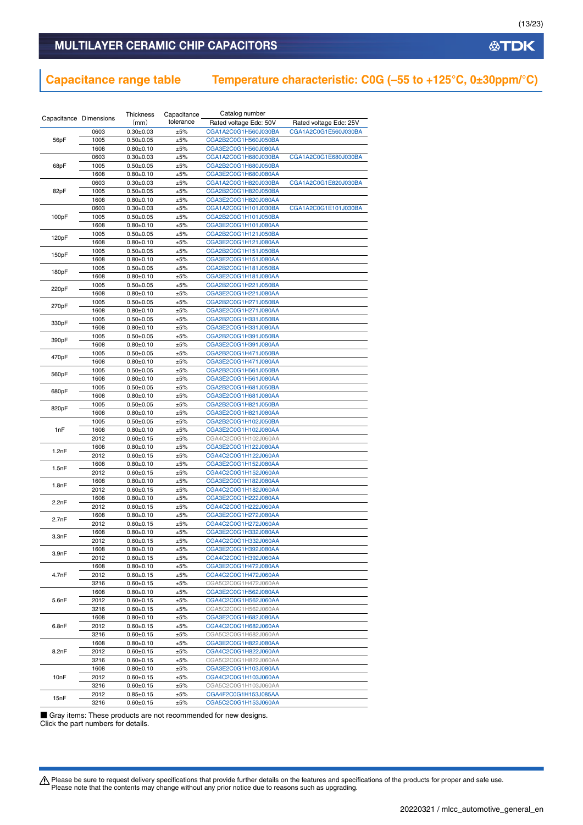# MULTILAYER CERAMIC CHIP CAPACITORS

# **Capacitance range table Temperature characteristic: C0G (–55 to +125°C, 0±30ppm/°C)**

| Capacitance Dimensions |              | Thickness                      | Capacitance | Catalog number                               |                        |
|------------------------|--------------|--------------------------------|-------------|----------------------------------------------|------------------------|
|                        |              | (mm)                           | tolerance   | Rated voltage Edc: 50V                       | Rated voltage Edc: 25V |
|                        | 0603         | $0.30 \pm 0.03$                | ±5%         | CGA1A2C0G1H560J030BA                         | CGA1A2C0G1E560J030BA   |
| 56pF                   | 1005         | $0.50 \pm 0.05$                | ±5%         | CGA2B2C0G1H560J050BA                         |                        |
|                        | 1608         | $0.80 + 0.10$                  | ±5%         | CGA3E2C0G1H560J080AA                         |                        |
|                        | 0603         | $0.30 \pm 0.03$                | ±5%         | CGA1A2C0G1H680J030BA                         | CGA1A2C0G1E680J030BA   |
| 68pF                   | 1005         | $0.50 + 0.05$                  | ±5%         | CGA2B2C0G1H680J050BA                         |                        |
|                        | 1608         | $0.80 + 0.10$                  | ±5%         | CGA3E2C0G1H680J080AA                         |                        |
|                        | 0603         | $0.30 \pm 0.03$                | ±5%         | CGA1A2C0G1H820J030BA                         | CGA1A2C0G1E820J030BA   |
| 82pF                   | 1005         | $0.50 + 0.05$                  | ±5%         | CGA2B2C0G1H820J050BA                         |                        |
|                        | 1608         | $0.80 + 0.10$                  | ±5%         | CGA3E2C0G1H820J080AA                         |                        |
|                        | 0603         | $0.30 \pm 0.03$                | ±5%         | CGA1A2C0G1H101J030BA                         | CGA1A2C0G1E101J030BA   |
| 100pF                  | 1005         | $0.50 \pm 0.05$                | ±5%         | CGA2B2C0G1H101J050BA                         |                        |
|                        | 1608         | $0.80 \pm 0.10$                | ±5%         | CGA3E2C0G1H101J080AA                         |                        |
| 120pF                  | 1005         | $0.50 + 0.05$                  | ±5%         | CGA2B2C0G1H121J050BA                         |                        |
|                        | 1608         | $0.80 + 0.10$                  | ±5%         | CGA3E2C0G1H121J080AA                         |                        |
| 150pF                  | 1005         | $0.50 \pm 0.05$                | ±5%         | CGA2B2C0G1H151J050BA                         |                        |
|                        | 1608         | $0.80 + 0.10$                  | ±5%         | CGA3E2C0G1H151J080AA                         |                        |
| 180pF                  | 1005         | $0.50 + 0.05$                  | ±5%         | CGA2B2C0G1H181J050BA                         |                        |
|                        | 1608         | $0.80 + 0.10$                  | ±5%         | CGA3E2C0G1H181J080AA                         |                        |
| 220pF                  | 1005         | $0.50 + 0.05$                  | ±5%         | CGA2B2C0G1H221J050BA                         |                        |
|                        | 1608         | $0.80 + 0.10$                  | ±5%         | CGA3E2C0G1H221J080AA                         |                        |
| 270pF                  | 1005         | $0.50 + 0.05$                  | ±5%         | CGA2B2C0G1H271J050BA                         |                        |
|                        | 1608         | $0.80 + 0.10$                  | ±5%         | CGA3E2C0G1H271J080AA                         |                        |
| 330pF                  | 1005         | $0.50 + 0.05$                  | ±5%         | CGA2B2C0G1H331J050BA                         |                        |
|                        | 1608         | $0.80 + 0.10$                  | ±5%         | CGA3E2C0G1H331J080AA                         |                        |
| 390pF                  | 1005         | $0.50 \pm 0.05$                | ±5%         | CGA2B2C0G1H391J050BA                         |                        |
|                        | 1608         | $0.80 + 0.10$                  | ±5%         | CGA3E2C0G1H391J080AA                         |                        |
| 470pF                  | 1005         | $0.50 + 0.05$                  | ±5%         | CGA2B2C0G1H471J050BA                         |                        |
|                        | 1608         | $0.80 + 0.10$                  | ±5%         | CGA3E2C0G1H471J080AA                         |                        |
| 560pF                  | 1005         | $0.50 + 0.05$                  | ±5%         | CGA2B2C0G1H561J050BA                         |                        |
|                        | 1608         | $0.80 \pm 0.10$                | ±5%         | CGA3E2C0G1H561J080AA<br>CGA2B2C0G1H681J050BA |                        |
| 680pF                  | 1005         | $0.50 \pm 0.05$                | ±5%         |                                              |                        |
|                        | 1608         | $0.80 + 0.10$                  | ±5%         | CGA3E2C0G1H681J080AA                         |                        |
| 820pF                  | 1005         | $0.50 + 0.05$                  | ±5%         | CGA2B2C0G1H821J050BA                         |                        |
|                        | 1608<br>1005 | $0.80 + 0.10$<br>$0.50 + 0.05$ | ±5%<br>±5%  | CGA3E2C0G1H821J080AA<br>CGA2B2C0G1H102J050BA |                        |
| 1nF                    | 1608         | $0.80 + 0.10$                  | ±5%         | CGA3E2C0G1H102J080AA                         |                        |
|                        | 2012         | $0.60 \pm 0.15$                | ±5%         | CGA4C2C0G1H102J060AA                         |                        |
|                        | 1608         | $0.80 + 0.10$                  | ±5%         | CGA3E2C0G1H122J080AA                         |                        |
| 1.2nF                  | 2012         | $0.60 \pm 0.15$                | ±5%         | CGA4C2C0G1H122J060AA                         |                        |
|                        | 1608         | $0.80 \pm 0.10$                | ±5%         | CGA3E2C0G1H152J080AA                         |                        |
| 1.5nF                  | 2012         | $0.60 \pm 0.15$                | ±5%         | CGA4C2C0G1H152J060AA                         |                        |
|                        | 1608         | $0.80 + 0.10$                  | ±5%         | CGA3E2C0G1H182J080AA                         |                        |
| 1.8nF                  | 2012         | $0.60 \pm 0.15$                | ±5%         | CGA4C2C0G1H182J060AA                         |                        |
|                        | 1608         | $0.80 \pm 0.10$                | ±5%         | CGA3E2C0G1H222J080AA                         |                        |
| 2.2nF                  | 2012         | $0.60 \pm 0.15$                | ±5%         | CGA4C2C0G1H222J060AA                         |                        |
|                        | 1608         | $0.80 + 0.10$                  | ±5%         | CGA3E2C0G1H272J080AA                         |                        |
| 2.7nF                  | 2012         | $0.60 + 0.15$                  | ±5%         | CGA4C2C0G1H272J060AA                         |                        |
|                        | 1608         | $0.80 + 0.10$                  | ±5%         | CGA3E2C0G1H332J080AA                         |                        |
| 3.3nF                  | 2012         | $0.60 \pm 0.15$                | ±5%         | CGA4C2C0G1H332J060AA                         |                        |
|                        | 1608         | $0.80 \pm 0.10$                | ±5%         | CGA3E2C0G1H392J080AA                         |                        |
| 3.9nF                  | 2012         | $0.60 \pm 0.15$                | ±5%         | CGA4C2C0G1H392J060AA                         |                        |
|                        | 1608         | $0.80 \pm 0.10$                | ±5%         | CGA3E2C0G1H472J080AA                         |                        |
| 4.7nF                  | 2012         | $0.60 \pm 0.15$                | ±5%         | CGA4C2C0G1H472J060AA                         |                        |
|                        | 3216         | $0.60 \pm 0.15$                | ±5%         | CGA5C2C0G1H472J060AA                         |                        |
|                        | 1608         | $0.80 \pm 0.10$                | ±5%         | CGA3E2C0G1H562J080AA                         |                        |
| 5.6nF                  | 2012         | $0.60 \pm 0.15$                | ±5%         | CGA4C2C0G1H562J060AA                         |                        |
|                        | 3216         | $0.60 \pm 0.15$                | ±5%         | CGA5C2C0G1H562J060AA                         |                        |
|                        | 1608         | $0.80 \pm 0.10$                | ±5%         | CGA3E2C0G1H682J080AA                         |                        |
| 6.8nF                  | 2012         | $0.60 \pm 0.15$                | ±5%         | CGA4C2C0G1H682J060AA                         |                        |
|                        | 3216         | $0.60 \pm 0.15$                | ±5%         | CGA5C2C0G1H682J060AA                         |                        |
|                        | 1608         | $0.80 \pm 0.10$                | ±5%         | CGA3E2C0G1H822J080AA                         |                        |
| 8.2nF                  | 2012         | $0.60 \pm 0.15$                | ±5%         | CGA4C2C0G1H822J060AA                         |                        |
|                        | 3216         | $0.60 \pm 0.15$                | ±5%         | CGA5C2C0G1H822J060AA                         |                        |
|                        | 1608         | $0.80 \pm 0.10$                | ±5%         | CGA3E2C0G1H103J080AA                         |                        |
| 10nF                   | 2012         | $0.60 \pm 0.15$                | ±5%         | CGA4C2C0G1H103J060AA                         |                        |
|                        | 3216         | $0.60 \pm 0.15$                | ±5%         | CGA5C2C0G1H103J060AA                         |                        |
| 15nF                   | 2012         | $0.85 \pm 0.15$                | ±5%         | CGA4F2C0G1H153J085AA                         |                        |
|                        | 3216         | $0.60 \pm 0.15$                | ±5%         | CGA5C2C0G1H153J060AA                         |                        |
|                        |              |                                |             |                                              |                        |

■ Gray items: These products are not recommended for new designs.

Click the part numbers for details.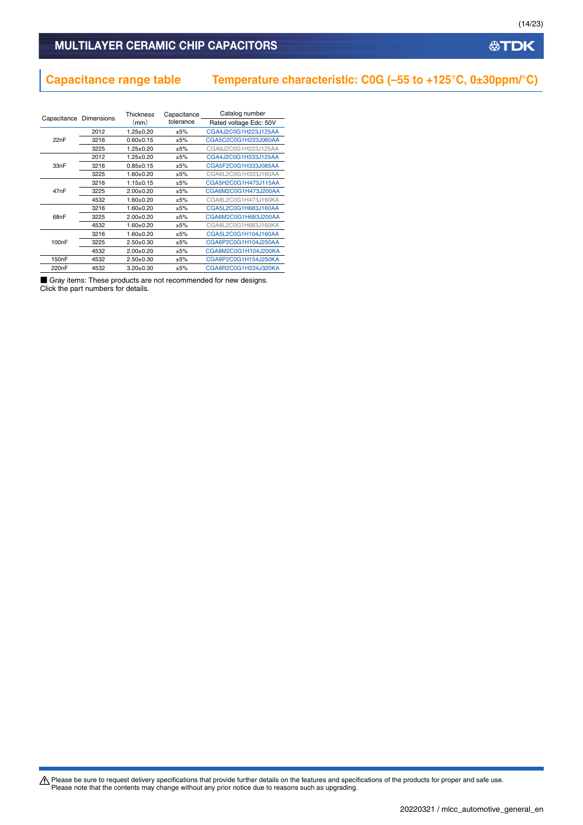# **Capacitance range table Temperature characteristic: C0G (–55 to +125°C, 0±30ppm/°C)**

| Capacitance Dimensions |      | <b>Thickness</b> | Capacitance | Catalog number         |
|------------------------|------|------------------|-------------|------------------------|
|                        |      | (mm)             | tolerance   | Rated voltage Edc: 50V |
|                        | 2012 | $1.25 + 0.20$    | $+5%$       | CGA4J2C0G1H223J125AA   |
| 22nF                   | 3216 | $0.60 + 0.15$    | ±5%         | CGA5C2C0G1H223J060AA   |
|                        | 3225 | $1.25 + 0.20$    | $+5%$       | CGA6J2C0G1H223J125AA   |
|                        | 2012 | $1.25 \pm 0.20$  | ±5%         | CGA4J2C0G1H333J125AA   |
| 33nF                   | 3216 | $0.85 \pm 0.15$  | ±5%         | CGA5F2C0G1H333J085AA   |
|                        | 3225 | $1.60 + 0.20$    | ±5%         | CGA6L2C0G1H333J160AA   |
|                        | 3216 | $1.15 \pm 0.15$  | ±5%         | CGA5H2C0G1H473J115AA   |
| 47nF                   | 3225 | $2.00+0.20$      | ±5%         | CGA6M2C0G1H473J200AA   |
|                        | 4532 | $1.60 + 0.20$    | ±5%         | CGA8L2C0G1H473J160KA   |
|                        | 3216 | $1.60 + 0.20$    | ±5%         | CGA5L2C0G1H683J160AA   |
| 68nF                   | 3225 | $2.00+0.20$      | ±5%         | CGA6M2C0G1H683J200AA   |
|                        | 4532 | $1.60 + 0.20$    | ±5%         | CGA8L2C0G1H683J160KA   |
|                        | 3216 | $1.60 + 0.20$    | ±5%         | CGA5L2C0G1H104J160AA   |
| 100 <sub>n</sub> F     | 3225 | $2.50+0.30$      | ±5%         | CGA6P2C0G1H104J250AA   |
|                        | 4532 | $2.00+0.20$      | ±5%         | CGA8M2C0G1H104J200KA   |
| 150 <sub>n</sub> F     | 4532 | $2.50+0.30$      | ±5%         | CGA8P2C0G1H154J250KA   |
| 220 <sub>n</sub> F     | 4532 | $3.20+0.30$      | ±5%         | CGA8R2C0G1H224J320KA   |

■ Gray items: These products are not recommended for new designs. Click the part numbers for details.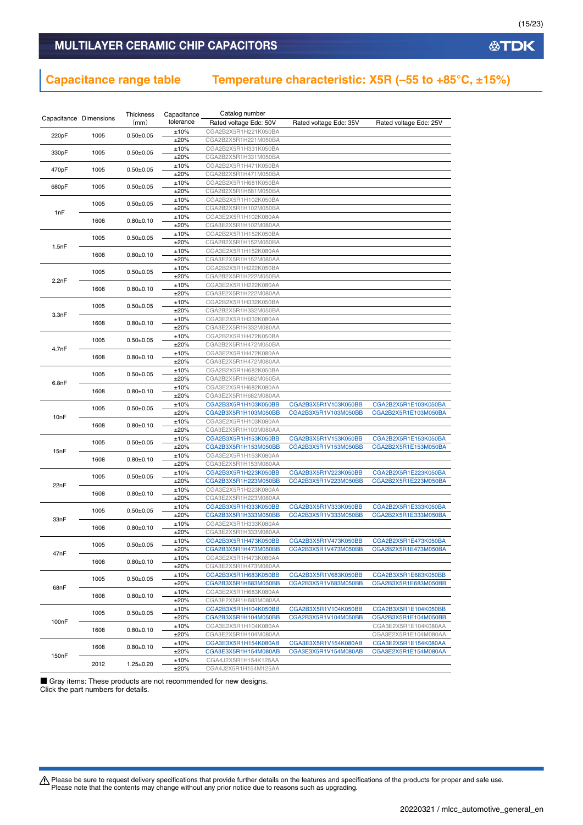# **Capacitance range table Temperature characteristic: X5R (–55 to +85°C, ±15%)**

|                        |                       | Thickness       | Capacitance  | Catalog number                               |                        |                        |
|------------------------|-----------------------|-----------------|--------------|----------------------------------------------|------------------------|------------------------|
| Capacitance Dimensions |                       | (mm)            | tolerance    | Rated voltage Edc: 50V                       | Rated voltage Edc: 35V | Rated voltage Edc: 25V |
|                        | 1005<br>$0.50 + 0.05$ |                 | ±10%         | CGA2B2X5R1H221K050BA                         |                        |                        |
| 220pF                  |                       |                 | ±20%         | CGA2B2X5R1H221M050BA                         |                        |                        |
| 330pF                  | 1005                  | $0.50 \pm 0.05$ | ±10%         | CGA2B2X5R1H331K050BA                         |                        |                        |
|                        |                       |                 | ±20%         | CGA2B2X5R1H331M050BA                         |                        |                        |
| 470pF                  | 1005                  | $0.50 \pm 0.05$ | ±10%         | CGA2B2X5R1H471K050BA                         |                        |                        |
|                        |                       |                 | ±20%         | CGA2B2X5R1H471M050BA                         |                        |                        |
| 680pF                  | 1005                  | $0.50 \pm 0.05$ | ±10%         | CGA2B2X5R1H681K050BA                         |                        |                        |
|                        |                       |                 | ±20%         | CGA2B2X5R1H681M050BA                         |                        |                        |
|                        | 1005                  | $0.50 \pm 0.05$ | ±10%         | CGA2B2X5R1H102K050BA                         |                        |                        |
| 1nF                    |                       |                 | ±20%         | CGA2B2X5R1H102M050BA                         |                        |                        |
|                        | 1608                  | $0.80 + 0.10$   | ±10%         | CGA3E2X5R1H102K080AA                         |                        |                        |
|                        |                       |                 | ±20%         | CGA3E2X5R1H102M080AA                         |                        |                        |
|                        | 1005                  | $0.50 \pm 0.05$ | ±10%         | CGA2B2X5R1H152K050BA                         |                        |                        |
| 1.5nF                  |                       |                 | ±20%         | CGA2B2X5R1H152M050BA                         |                        |                        |
|                        | 1608                  | $0.80 \pm 0.10$ | ±10%         | CGA3E2X5R1H152K080AA                         |                        |                        |
|                        |                       |                 | ±20%         | CGA3E2X5R1H152M080AA                         |                        |                        |
|                        | 1005                  | $0.50 \pm 0.05$ | ±10%         | CGA2B2X5R1H222K050BA                         |                        |                        |
| 2.2nF                  |                       |                 | ±20%         | CGA2B2X5R1H222M050BA                         |                        |                        |
|                        | 1608                  | $0.80 + 0.10$   | ±10%         | CGA3E2X5R1H222K080AA                         |                        |                        |
|                        |                       |                 | ±20%         | CGA3E2X5R1H222M080AA                         |                        |                        |
|                        | 1005                  | $0.50 + 0.05$   | ±10%<br>±20% | CGA2B2X5R1H332K050BA<br>CGA2B2X5R1H332M050BA |                        |                        |
| 3.3nF                  |                       |                 | ±10%         | CGA3E2X5R1H332K080AA                         |                        |                        |
|                        | 1608                  | $0.80 + 0.10$   | ±20%         | CGA3E2X5R1H332M080AA                         |                        |                        |
|                        |                       |                 | ±10%         | CGA2B2X5R1H472K050BA                         |                        |                        |
|                        | 1005                  | $0.50 \pm 0.05$ | ±20%         | CGA2B2X5R1H472M050BA                         |                        |                        |
| 4.7nF                  |                       |                 | ±10%         | CGA3E2X5R1H472K080AA                         |                        |                        |
|                        | 1608                  | $0.80 + 0.10$   | ±20%         | CGA3E2X5R1H472M080AA                         |                        |                        |
|                        |                       |                 | ±10%         | CGA2B2X5R1H682K050BA                         |                        |                        |
|                        | 1005                  | $0.50 \pm 0.05$ | ±20%         | CGA2B2X5R1H682M050BA                         |                        |                        |
| 6.8nF                  | 1608                  |                 | ±10%         | CGA3E2X5R1H682K080AA                         |                        |                        |
|                        |                       | $0.80 \pm 0.10$ | ±20%         | CGA3E2X5R1H682M080AA                         |                        |                        |
|                        | 1005<br>1608          | $0.50 \pm 0.05$ | ±10%         | CGA2B3X5R1H103K050BB                         | CGA2B3X5R1V103K050BB   | CGA2B2X5R1E103K050BA   |
| 10 <sub>n</sub> F      |                       |                 | ±20%         | CGA2B3X5R1H103M050BB                         | CGA2B3X5R1V103M050BB   | CGA2B2X5R1E103M050BA   |
|                        |                       | $0.80 \pm 0.10$ | ±10%         | CGA3E2X5R1H103K080AA                         |                        |                        |
|                        |                       |                 | ±20%         | CGA3E2X5R1H103M080AA                         |                        |                        |
|                        | 1005                  | $0.50 \pm 0.05$ | ±10%         | CGA2B3X5R1H153K050BB                         | CGA2B3X5R1V153K050BB   | CGA2B2X5R1E153K050BA   |
| 15nF                   |                       |                 | ±20%         | CGA2B3X5R1H153M050BB                         | CGA2B3X5R1V153M050BB   | CGA2B2X5R1E153M050BA   |
|                        | 1608                  | $0.80 + 0.10$   | ±10%         | CGA3E2X5R1H153K080AA                         |                        |                        |
|                        |                       |                 | ±20%         | CGA3E2X5R1H153M080AA                         |                        |                        |
|                        | 1005                  | $0.50 \pm 0.05$ | ±10%         | CGA2B3X5R1H223K050BB                         | CGA2B3X5R1V223K050BB   | CGA2B2X5R1E223K050BA   |
| 22nF                   |                       |                 | ±20%         | CGA2B3X5R1H223M050BB                         | CGA2B3X5R1V223M050BB   | CGA2B2X5R1E223M050BA   |
|                        | 1608                  | $0.80 \pm 0.10$ | ±10%         | CGA3E2X5R1H223K080AA                         |                        |                        |
|                        |                       |                 | ±20%<br>±10% | CGA3E2X5R1H223M080AA<br>CGA2B3X5R1H333K050BB | CGA2B3X5R1V333K050BB   | CGA2B2X5R1E333K050BA   |
|                        | 1005                  | $0.50 \pm 0.05$ | ±20%         | CGA2B3X5R1H333M050BB                         | CGA2B3X5R1V333M050BB   | CGA2B2X5R1E333M050BA   |
| 33nF                   |                       |                 | ±10%         | CGA3E2X5R1H333K080AA                         |                        |                        |
|                        | 1608                  | $0.80 + 0.10$   | ±20%         | CGA3E2X5R1H333M080AA                         |                        |                        |
|                        |                       |                 | ±10%         | CGA2B3X5R1H473K050BB                         | CGA2B3X5R1V473K050BB   | CGA2B2X5R1E473K050BA   |
|                        | 1005                  | $0.50 \pm 0.05$ | ±20%         | CGA2B3X5R1H473M050BB                         | CGA2B3X5R1V473M050BB   | CGA2B2X5R1E473M050BA   |
| 47nF                   |                       |                 | ±10%         | CGA3E2X5R1H473K080AA                         |                        |                        |
|                        | 1608                  | $0.80 \pm 0.10$ | ±20%         | CGA3E2X5R1H473M080AA                         |                        |                        |
|                        |                       |                 | ±10%         | CGA2B3X5R1H683K050BB                         | CGA2B3X5R1V683K050BB   | CGA2B3X5R1E683K050BB   |
|                        | 1005                  | $0.50 + 0.05$   | ±20%         | CGA2B3X5R1H683M050BB                         | CGA2B3X5R1V683M050BB   | CGA2B3X5R1E683M050BB   |
| 68nF                   |                       | $0.80 + 0.10$   | ±10%         | CGA3E2X5R1H683K080AA                         |                        |                        |
|                        | 1608                  |                 | ±20%         | CGA3E2X5R1H683M080AA                         |                        |                        |
|                        | 1005                  | $0.50 \pm 0.05$ | ±10%         | CGA2B3X5R1H104K050BB                         | CGA2B3X5R1V104K050BB   | CGA2B3X5R1E104K050BB   |
| 100 <sub>n</sub> F     |                       |                 | ±20%         | CGA2B3X5R1H104M050BB                         | CGA2B3X5R1V104M050BB   | CGA2B3X5R1E104M050BB   |
|                        | 1608                  | $0.80 + 0.10$   | ±10%         | CGA3E2X5R1H104K080AA                         |                        | CGA3E2X5R1E104K080AA   |
|                        |                       |                 | ±20%         | CGA3E2X5R1H104M080AA                         |                        | CGA3E2X5R1E104M080AA   |
|                        | 1608                  | $0.80 \pm 0.10$ | ±10%         | CGA3E3X5R1H154K080AB                         | CGA3E3X5R1V154K080AB   | CGA3E2X5R1E154K080AA   |
| 150 <sub>n</sub> F     |                       |                 | ±20%         | CGA3E3X5R1H154M080AB                         | CGA3E3X5R1V154M080AB   | CGA3E2X5R1E154M080AA   |
|                        | 2012                  | $1.25 \pm 0.20$ | ±10%         | CGA4J2X5R1H154K125AA                         |                        |                        |
|                        |                       |                 | ±20%         | CGA4J2X5R1H154M125AA                         |                        |                        |

■ Gray items: These products are not recommended for new designs. Click the part numbers for details.

Please be sure to request delivery specifications that provide further details on the features and specifications of the products for proper and safe use.<br>Please note that the contents may change without any prior notice d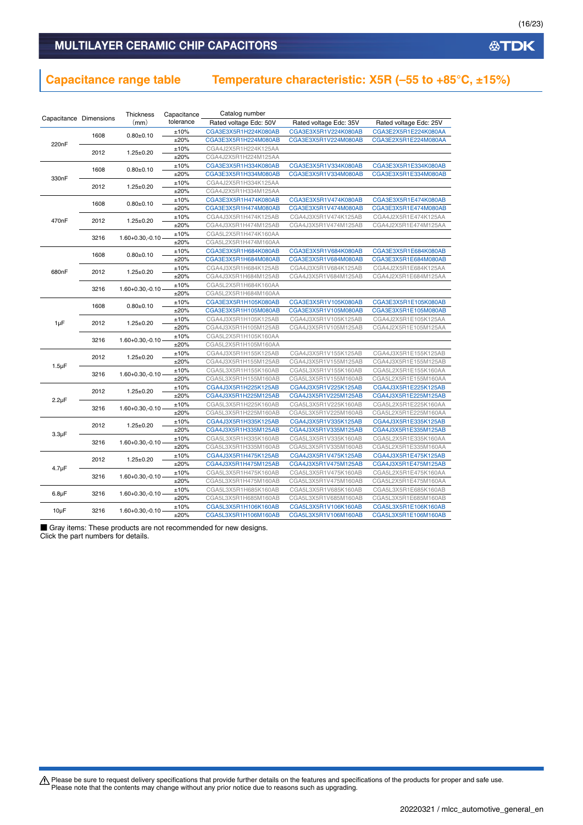# **Capacitance range table Temperature characteristic: X5R (–55 to +85°C, ±15%)**

| Capacitance Dimensions |      | Thickness              | Catalog number<br>Capacitance |                        |                        |                        |
|------------------------|------|------------------------|-------------------------------|------------------------|------------------------|------------------------|
|                        |      |                        | tolerance                     | Rated voltage Edc: 50V | Rated voltage Edc: 35V | Rated voltage Edc: 25V |
|                        | 1608 | $0.80 + 0.10$          | ±10%                          | CGA3E3X5R1H224K080AB   | CGA3E3X5R1V224K080AB   | CGA3E2X5R1E224K080AA   |
| 220 <sub>n</sub> F     |      |                        | ±20%                          | CGA3E3X5R1H224M080AB   | CGA3E3X5R1V224M080AB   | CGA3E2X5R1E224M080AA   |
|                        | 2012 | $1.25 \pm 0.20$        | ±10%                          | CGA4J2X5R1H224K125AA   |                        |                        |
|                        |      |                        | ±20%                          | CGA4J2X5R1H224M125AA   |                        |                        |
| 1608                   |      | $0.80 + 0.10$          | ±10%                          | CGA3E3X5R1H334K080AB   | CGA3E3X5R1V334K080AB   | CGA3E3X5R1E334K080AB   |
| 330nF                  |      |                        | ±20%                          | CGA3E3X5R1H334M080AB   | CGA3E3X5R1V334M080AB   | CGA3E3X5R1E334M080AB   |
|                        | 2012 | $1.25 \pm 0.20$        | ±10%                          | CGA4J2X5R1H334K125AA   |                        |                        |
|                        |      |                        | ±20%                          | CGA4J2X5R1H334M125AA   |                        |                        |
|                        | 1608 | $0.80 + 0.10$          | ±10%                          | CGA3E3X5R1H474K080AB   | CGA3E3X5R1V474K080AB   | CGA3E3X5R1E474K080AB   |
|                        |      |                        | ±20%                          | CGA3E3X5R1H474M080AB   | CGA3E3X5R1V474M080AB   | CGA3E3X5R1E474M080AB   |
| 470nF                  | 2012 | $1.25 \pm 0.20$        | ±10%                          | CGA4J3X5R1H474K125AB   | CGA4J3X5R1V474K125AB   | CGA4J2X5R1E474K125AA   |
|                        |      |                        | ±20%                          | CGA4J3X5R1H474M125AB   | CGA4J3X5R1V474M125AB   | CGA4J2X5R1E474M125AA   |
|                        | 3216 | $1.60 + 0.30, -0.10$   | ±10%                          | CGA5L2X5R1H474K160AA   |                        |                        |
|                        |      |                        | ±20%                          | CGA5L2X5R1H474M160AA   |                        |                        |
|                        | 1608 | $0.80 + 0.10$          | ±10%                          | CGA3E3X5R1H684K080AB   | CGA3E3X5R1V684K080AB   | CGA3E3X5R1E684K080AB   |
|                        |      |                        | ±20%                          | CGA3E3X5R1H684M080AB   | CGA3E3X5R1V684M080AB   | CGA3E3X5R1E684M080AB   |
| 680nF                  | 2012 | $1.25 \pm 0.20$        | ±10%                          | CGA4J3X5R1H684K125AB   | CGA4J3X5R1V684K125AB   | CGA4J2X5R1E684K125AA   |
|                        |      |                        | ±20%                          | CGA4J3X5R1H684M125AB   | CGA4J3X5R1V684M125AB   | CGA4J2X5R1E684M125AA   |
|                        | 3216 | $1.60 + 0.30, -0.10$   | ±10%                          | CGA5L2X5R1H684K160AA   |                        |                        |
|                        |      |                        | ±20%                          | CGA5L2X5R1H684M160AA   |                        |                        |
|                        | 1608 | $0.80 + 0.10$          | ±10%                          | CGA3E3X5R1H105K080AB   | CGA3E3X5R1V105K080AB   | CGA3E3X5R1E105K080AB   |
|                        | 2012 |                        | ±20%                          | CGA3E3X5R1H105M080AB   | CGA3E3X5R1V105M080AB   | CGA3E3X5R1E105M080AB   |
| 1µF                    |      | $1.25 \pm 0.20$        | ±10%                          | CGA4J3X5R1H105K125AB   | CGA4J3X5R1V105K125AB   | CGA4J2X5R1E105K125AA   |
|                        |      |                        | ±20%                          | CGA4J3X5R1H105M125AB   | CGA4J3X5R1V105M125AB   | CGA4J2X5R1E105M125AA   |
|                        | 3216 | $1.60 + 0.30, -0.10$   | ±10%                          | CGA5L2X5R1H105K160AA   |                        |                        |
|                        |      |                        | ±20%                          | CGA5L2X5R1H105M160AA   |                        |                        |
|                        | 2012 | $1.25 \pm 0.20$        | ±10%                          | CGA4J3X5R1H155K125AB   | CGA4J3X5R1V155K125AB   | CGA4J3X5R1E155K125AB   |
| $1.5 \mu F$            |      |                        | ±20%                          | CGA4J3X5R1H155M125AB   | CGA4J3X5R1V155M125AB   | CGA4J3X5R1E155M125AB   |
|                        | 3216 | $1.60 + 0.30, -0.10$   | ±10%                          | CGA5L3X5R1H155K160AB   | CGA5L3X5R1V155K160AB   | CGA5L2X5R1E155K160AA   |
|                        |      |                        | ±20%                          | CGA5L3X5R1H155M160AB   | CGA5L3X5R1V155M160AB   | CGA5L2X5R1E155M160AA   |
|                        | 2012 | $1.25 \pm 0.20$        | ±10%                          | CGA4J3X5R1H225K125AB   | CGA4J3X5R1V225K125AB   | CGA4J3X5R1E225K125AB   |
| $2.2\mu F$             |      |                        | ±20%                          | CGA4J3X5R1H225M125AB   | CGA4J3X5R1V225M125AB   | CGA4J3X5R1E225M125AB   |
|                        | 3216 | $1.60 + 0.30, -0.10$   | ±10%                          | CGA5L3X5R1H225K160AB   | CGA5L3X5R1V225K160AB   | CGA5L2X5R1E225K160AA   |
|                        |      |                        | ±20%                          | CGA5L3X5R1H225M160AB   | CGA5L3X5R1V225M160AB   | CGA5L2X5R1E225M160AA   |
|                        | 2012 | $1.25 \pm 0.20$        | ±10%                          | CGA4J3X5R1H335K125AB   | CGA4J3X5R1V335K125AB   | CGA4J3X5R1E335K125AB   |
| $3.3\mu F$             |      |                        | ±20%                          | CGA4J3X5R1H335M125AB   | CGA4J3X5R1V335M125AB   | CGA4J3X5R1E335M125AB   |
|                        | 3216 | $1.60 + 0.30, -0.10$   | ±10%                          | CGA5L3X5R1H335K160AB   | CGA5L3X5R1V335K160AB   | CGA5L2X5R1E335K160AA   |
|                        |      |                        | ±20%                          | CGA5L3X5R1H335M160AB   | CGA5L3X5R1V335M160AB   | CGA5L2X5R1E335M160AA   |
|                        | 2012 | $1.25 \pm 0.20$        | ±10%                          | CGA4J3X5R1H475K125AB   | CGA4J3X5R1V475K125AB   | CGA4J3X5R1E475K125AB   |
| $4.7 \mu F$            |      |                        | ±20%                          | CGA4J3X5R1H475M125AB   | CGA4J3X5R1V475M125AB   | CGA4J3X5R1E475M125AB   |
|                        | 3216 | $1.60 + 0.30, -0.10 -$ | ±10%                          | CGA5L3X5R1H475K160AB   | CGA5L3X5R1V475K160AB   | CGA5L2X5R1E475K160AA   |
|                        |      |                        | ±20%                          | CGA5L3X5R1H475M160AB   | CGA5L3X5R1V475M160AB   | CGA5L2X5R1E475M160AA   |
| $6.8\mu F$             | 3216 | $1.60 + 0.30, -0.10$   | ±10%                          | CGA5L3X5R1H685K160AB   | CGA5L3X5R1V685K160AB   | CGA5L3X5R1E685K160AB   |
|                        |      |                        | ±20%                          | CGA5L3X5R1H685M160AB   | CGA5L3X5R1V685M160AB   | CGA5L3X5R1E685M160AB   |
| $10\mu F$              | 3216 | $1.60 + 0.30, -0.10$   | ±10%                          | CGA5L3X5R1H106K160AB   | CGA5L3X5R1V106K160AB   | CGA5L3X5R1E106K160AB   |
|                        |      |                        | ±20%                          | CGA5L3X5R1H106M160AB   | CGA5L3X5R1V106M160AB   | CGA5L3X5R1E106M160AB   |

■ Gray items: These products are not recommended for new designs. Click the part numbers for details.

Please be sure to request delivery specifications that provide further details on the features and specifications of the products for proper and safe use.<br>Please note that the contents may change without any prior notice d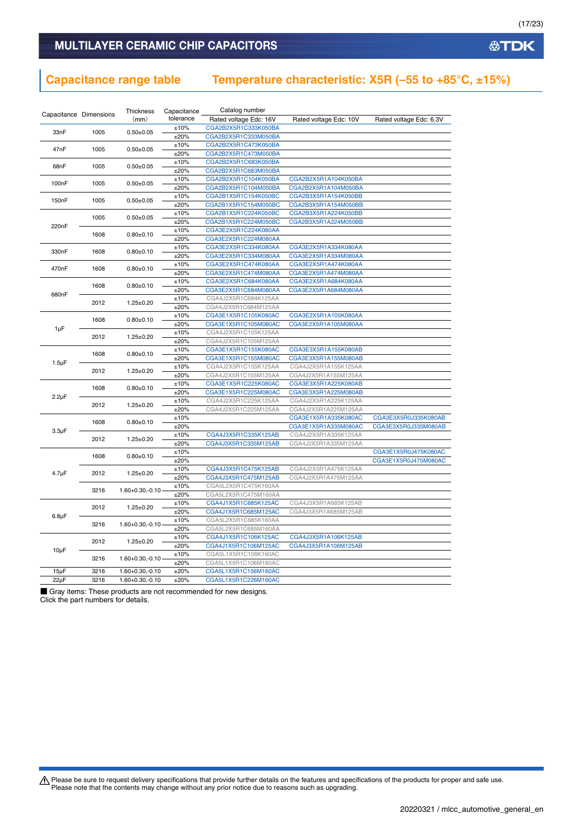# **Capacitance range table Temperature characteristic: X5R (–55 to +85°C, ±15%)**

| Capacitance Dimensions |                               | Thickness            | Capacitance  | Catalog number                               |                                              |                         |
|------------------------|-------------------------------|----------------------|--------------|----------------------------------------------|----------------------------------------------|-------------------------|
|                        |                               | (mm)                 | tolerance    | Rated voltage Edc: 16V                       | Rated voltage Edc: 10V                       | Rated voltage Edc: 6.3V |
|                        | 33nF<br>1005<br>$0.50 + 0.05$ |                      | ±10%         | CGA2B2X5R1C333K050BA                         |                                              |                         |
|                        |                               |                      | ±20%         | CGA2B2X5R1C333M050BA                         |                                              |                         |
| 47nF                   | 1005                          | $0.50 + 0.05$        | ±10%         | CGA2B2X5R1C473K050BA                         |                                              |                         |
|                        |                               |                      | ±20%         | CGA2B2X5R1C473M050BA                         |                                              |                         |
| 68nF                   | 1005                          | $0.50 + 0.05$        | ±10%         | CGA2B2X5R1C683K050BA                         |                                              |                         |
|                        |                               |                      | ±20%         | CGA2B2X5R1C683M050BA                         |                                              |                         |
| 100 <sub>n</sub> F     | 1005                          | $0.50 + 0.05$        | ±10%         | CGA2B2X5R1C104K050BA                         | CGA2B2X5R1A104K050BA                         |                         |
|                        |                               |                      | ±20%         | CGA2B2X5R1C104M050BA                         | CGA2B2X5R1A104M050BA                         |                         |
| 150 <sub>n</sub> F     | 1005                          | $0.50 + 0.05$        | ±10%         | CGA2B1X5R1C154K050BC                         | CGA2B3X5R1A154K050BB                         |                         |
|                        |                               |                      | ±20%         | CGA2B1X5R1C154M050BC                         | CGA2B3X5R1A154M050BB                         |                         |
|                        | 1005                          | $0.50 \pm 0.05$      | ±10%         | CGA2B1X5R1C224K050BC                         | CGA2B3X5R1A224K050BB                         |                         |
| 220 <sub>n</sub> F     |                               |                      | ±20%         | CGA2B1X5R1C224M050BC                         | CGA2B3X5R1A224M050BB                         |                         |
|                        | 1608                          | $0.80 + 0.10$        | ±10%         | CGA3E2X5R1C224K080AA                         |                                              |                         |
|                        |                               |                      | ±20%         | CGA3E2X5R1C224M080AA                         |                                              |                         |
| 330nF                  | 1608                          | $0.80 + 0.10$        | ±10%         | CGA3E2X5R1C334K080AA                         | CGA3E2X5R1A334K080AA                         |                         |
|                        |                               |                      | ±20%         | CGA3E2X5R1C334M080AA                         | CGA3E2X5R1A334M080AA                         |                         |
| 470nF                  | 1608                          | $0.80 + 0.10$        | ±10%<br>±20% | CGA3E2X5R1C474K080AA<br>CGA3E2X5R1C474M080AA | CGA3E2X5R1A474K080AA<br>CGA3E2X5R1A474M080AA |                         |
|                        |                               |                      | ±10%         | CGA3E2X5R1C684K080AA                         | CGA3E2X5R1A684K080AA                         |                         |
|                        | 1608                          | $0.80 + 0.10$        | ±20%         | CGA3E2X5R1C684M080AA                         | CGA3E2X5R1A684M080AA                         |                         |
| 680nF                  |                               |                      | ±10%         | CGA4J2X5R1C684K125AA                         |                                              |                         |
|                        | 2012                          | $1.25 \pm 0.20$      | ±20%         | CGA4J2X5R1C684M125AA                         |                                              |                         |
|                        | 1608<br>2012                  | $0.80 + 0.10$        | ±10%         | CGA3E1X5R1C105K080AC                         | CGA3E2X5R1A105K080AA                         |                         |
|                        |                               |                      | ±20%         | CGA3E1X5R1C105M080AC                         | CGA3E2X5R1A105M080AA                         |                         |
| 1µF                    |                               |                      | ±10%         | CGA4J2X5R1C105K125AA                         |                                              |                         |
|                        |                               | $1.25 \pm 0.20$      | ±20%         | CGA4J2X5R1C105M125AA                         |                                              |                         |
|                        |                               |                      | ±10%         | CGA3E1X5R1C155K080AC                         | CGA3E3X5R1A155K080AB                         |                         |
|                        | 1608                          | $0.80 + 0.10$        | ±20%         | CGA3E1X5R1C155M080AC                         | CGA3E3X5R1A155M080AB                         |                         |
| $1.5 \mu F$            |                               |                      | ±10%         | CGA4J2X5R1C155K125AA                         | CGA4J2X5R1A155K125AA                         |                         |
|                        | 2012                          | $1.25 \pm 0.20$      | ±20%         | CGA4J2X5R1C155M125AA                         | CGA4J2X5R1A155M125AA                         |                         |
|                        | 1608                          |                      | ±10%         | CGA3E1X5R1C225K080AC                         | CGA3E3X5R1A225K080AB                         |                         |
| $2.2\mu F$             |                               | $0.80 + 0.10$        | ±20%         | CGA3E1X5R1C225M080AC                         | CGA3E3X5R1A225M080AB                         |                         |
|                        | 2012                          | $1.25 \pm 0.20$      | ±10%         | CGA4J2X5R1C225K125AA                         | CGA4J2X5R1A225K125AA                         |                         |
|                        |                               |                      | ±20%         | CGA4J2X5R1C225M125AA                         | CGA4J2X5R1A225M125AA                         |                         |
|                        | 1608                          | $0.80 + 0.10$        | ±10%         |                                              | CGA3E1X5R1A335K080AC                         | CGA3E3X5R0J335K080AB    |
| $3.3\mu F$             |                               |                      | ±20%         |                                              | CGA3E1X5R1A335M080AC                         | CGA3E3X5R0J335M080AB    |
|                        | 2012                          | $1.25 \pm 0.20$      | ±10%         | CGA4J3X5R1C335K125AB                         | CGA4J2X5R1A335K125AA                         |                         |
|                        |                               |                      | ±20%         | CGA4J3X5R1C335M125AB                         | CGA4J2X5R1A335M125AA                         |                         |
|                        | 1608                          | $0.80 + 0.10$        | ±10%         |                                              |                                              | CGA3E1X5R0J475K080AC    |
|                        |                               |                      | ±20%         |                                              |                                              | CGA3E1X5R0J475M080AC    |
| 4.7 <sub>µ</sub> F     | 2012                          | $1.25 \pm 0.20$      | ±10%         | CGA4J3X5R1C475K125AB                         | CGA4J2X5R1A475K125AA                         |                         |
|                        |                               |                      | ±20%         | CGA4J3X5R1C475M125AB                         | CGA4J2X5R1A475M125AA                         |                         |
|                        | 3216                          | $1.60 + 0.30, -0.10$ | ±10%         | CGA5L2X5R1C475K160AA                         |                                              |                         |
|                        |                               |                      | ±20%<br>±10% | CGA5L2X5R1C475M160AA<br>CGA4J1X5R1C685K125AC | CGA4J3X5R1A685K125AB                         |                         |
| $6.8\mu F$             | 2012                          | $1.25 \pm 0.20$      | ±20%         | CGA4J1X5R1C685M125AC                         | CGA4J3X5R1A685M125AB                         |                         |
|                        |                               |                      | ±10%         | CGA5L2X5R1C685K160AA                         |                                              |                         |
|                        | 3216                          | $1.60 + 0.30, -0.10$ | ±20%         | CGA5L2X5R1C685M160AA                         |                                              |                         |
|                        |                               |                      | ±10%         | CGA4J1X5R1C106K125AC                         | CGA4J3X5R1A106K125AB                         |                         |
|                        | 2012                          | $1.25 \pm 0.20$      | ±20%         | CGA4J1X5R1C106M125AC                         | CGA4J3X5R1A106M125AB                         |                         |
| 10µF                   |                               |                      | ±10%         | CGA5L1X5R1C106K160AC                         |                                              |                         |
|                        | 3216                          | $1.60 + 0.30, -0.10$ | ±20%         | CGA5L1X5R1C106M160AC                         |                                              |                         |
| $15\mu F$              | 3216                          | $1.60 + 0.30, -0.10$ | ±20%         | CGA5L1X5R1C156M160AC                         |                                              |                         |
| $22\mu F$              | 3216                          | $1.60 + 0.30, -0.10$ | ±20%         | CGA5L1X5R1C226M160AC                         |                                              |                         |
|                        |                               |                      |              |                                              |                                              |                         |

■ Gray items: These products are not recommended for new designs. Click the part numbers for details.

Please be sure to request delivery specifications that provide further details on the features and specifications of the products for proper and safe use.<br>Please note that the contents may change without any prior notice d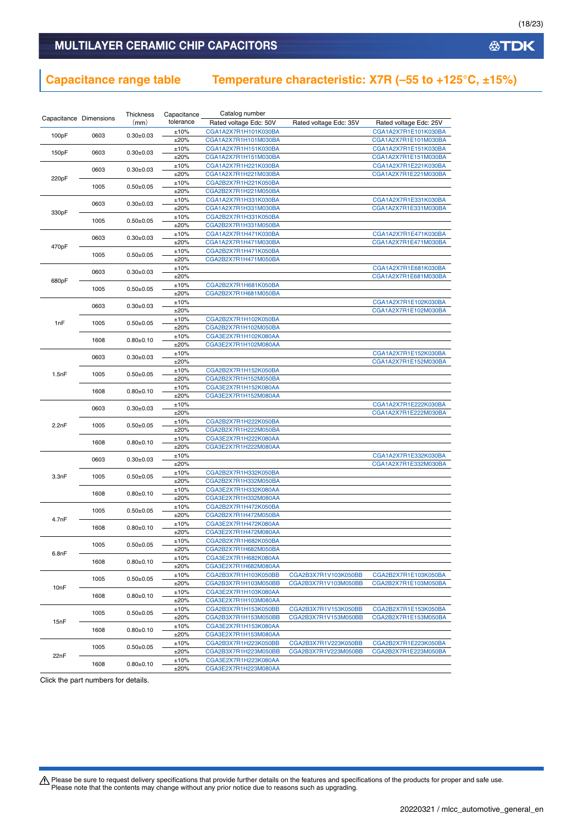# MULTILAYER CERAMIC CHIP CAPACITORS

# **Capacitance range table Temperature characteristic: X7R (–55 to +125°C, ±15%)**

|                        |      | Thickness       | Capacitance  | Catalog number         |                        |                        |
|------------------------|------|-----------------|--------------|------------------------|------------------------|------------------------|
| Capacitance Dimensions |      | (mm)            | tolerance    | Rated voltage Edc: 50V | Rated voltage Edc: 35V | Rated voltage Edc: 25V |
|                        |      |                 | ±10%         | CGA1A2X7R1H101K030BA   |                        | CGA1A2X7R1E101K030BA   |
| 100pF                  | 0603 | $0.30 \pm 0.03$ | ±20%         | CGA1A2X7R1H101M030BA   |                        | CGA1A2X7R1E101M030BA   |
|                        |      |                 | ±10%         | CGA1A2X7R1H151K030BA   |                        | CGA1A2X7R1E151K030BA   |
| 150pF                  | 0603 | $0.30 \pm 0.03$ | ±20%         | CGA1A2X7R1H151M030BA   |                        | CGA1A2X7R1E151M030BA   |
|                        |      |                 | ±10%         | CGA1A2X7R1H221K030BA   |                        | CGA1A2X7R1E221K030BA   |
|                        | 0603 | $0.30 + 0.03$   | ±20%         | CGA1A2X7R1H221M030BA   |                        | CGA1A2X7R1E221M030BA   |
| 220pF                  |      |                 | ±10%         | CGA2B2X7R1H221K050BA   |                        |                        |
|                        | 1005 | $0.50 \pm 0.05$ |              |                        |                        |                        |
|                        |      |                 | ±20%         | CGA2B2X7R1H221M050BA   |                        |                        |
|                        | 0603 | $0.30 \pm 0.03$ | ±10%         | CGA1A2X7R1H331K030BA   |                        | CGA1A2X7R1E331K030BA   |
| 330pF                  |      |                 | ±20%         | CGA1A2X7R1H331M030BA   |                        | CGA1A2X7R1E331M030BA   |
|                        | 1005 | $0.50 \pm 0.05$ | ±10%         | CGA2B2X7R1H331K050BA   |                        |                        |
|                        |      |                 | ±20%         | CGA2B2X7R1H331M050BA   |                        |                        |
|                        | 0603 | $0.30 \pm 0.03$ | ±10%         | CGA1A2X7R1H471K030BA   |                        | CGA1A2X7R1E471K030BA   |
| 470pF                  |      |                 | ±20%         | CGA1A2X7R1H471M030BA   |                        | CGA1A2X7R1E471M030BA   |
|                        | 1005 | $0.50 + 0.05$   | ±10%         | CGA2B2X7R1H471K050BA   |                        |                        |
|                        |      |                 | ±20%         | CGA2B2X7R1H471M050BA   |                        |                        |
|                        | 0603 | $0.30 \pm 0.03$ | ±10%         |                        |                        | CGA1A2X7R1E681K030BA   |
| 680pF                  |      |                 | ±20%         |                        |                        | CGA1A2X7R1E681M030BA   |
|                        | 1005 | $0.50+0.05$     | ±10%         | CGA2B2X7R1H681K050BA   |                        |                        |
|                        |      |                 | ±20%         | CGA2B2X7R1H681M050BA   |                        |                        |
|                        | 0603 | $0.30 \pm 0.03$ | ±10%         |                        |                        | CGA1A2X7R1E102K030BA   |
|                        |      |                 | ±20%         |                        |                        | CGA1A2X7R1E102M030BA   |
| 1 <sub>nF</sub>        | 1005 | $0.50 \pm 0.05$ | ±10%         | CGA2B2X7R1H102K050BA   |                        |                        |
|                        |      |                 | ±20%         | CGA2B2X7R1H102M050BA   |                        |                        |
|                        |      |                 | ±10%         | CGA3E2X7R1H102K080AA   |                        |                        |
|                        | 1608 | $0.80 + 0.10$   | ±20%         | CGA3E2X7R1H102M080AA   |                        |                        |
|                        |      |                 | ±10%         |                        |                        | CGA1A2X7R1E152K030BA   |
|                        | 0603 | $0.30 + 0.03$   | ±20%         |                        |                        | CGA1A2X7R1E152M030BA   |
|                        |      |                 | ±10%         | CGA2B2X7R1H152K050BA   |                        |                        |
| 1.5nF                  | 1005 | $0.50 \pm 0.05$ | ±20%         | CGA2B2X7R1H152M050BA   |                        |                        |
|                        | 1608 |                 | ±10%         | CGA3E2X7R1H152K080AA   |                        |                        |
|                        |      | $0.80 + 0.10$   | ±20%         | CGA3E2X7R1H152M080AA   |                        |                        |
|                        |      |                 | ±10%         |                        |                        | CGA1A2X7R1E222K030BA   |
|                        | 0603 | $0.30 \pm 0.03$ | ±20%         |                        |                        | CGA1A2X7R1E222M030BA   |
|                        |      |                 | ±10%         | CGA2B2X7R1H222K050BA   |                        |                        |
| 2.2nF                  | 1005 | $0.50 \pm 0.05$ | ±20%         | CGA2B2X7R1H222M050BA   |                        |                        |
|                        |      |                 | ±10%         | CGA3E2X7R1H222K080AA   |                        |                        |
|                        | 1608 | $0.80 \pm 0.10$ | ±20%         | CGA3E2X7R1H222M080AA   |                        |                        |
|                        |      |                 | ±10%         |                        |                        | CGA1A2X7R1E332K030BA   |
|                        | 0603 | $0.30 \pm 0.03$ | ±20%         |                        |                        | CGA1A2X7R1E332M030BA   |
|                        |      |                 | ±10%         | CGA2B2X7R1H332K050BA   |                        |                        |
| 3.3nF                  | 1005 | $0.50 \pm 0.05$ | ±20%         | CGA2B2X7R1H332M050BA   |                        |                        |
|                        |      |                 | ±10%         | CGA3E2X7R1H332K080AA   |                        |                        |
|                        | 1608 | $0.80 + 0.10$   | ±20%         | CGA3E2X7R1H332M080AA   |                        |                        |
|                        |      |                 | ±10%         | CGA2B2X7R1H472K050BA   |                        |                        |
|                        | 1005 | $0.50 \pm 0.05$ | ±20%         | CGA2B2X7R1H472M050BA   |                        |                        |
| 4.7nF                  |      |                 | ±10%         | CGA3E2X7R1H472K080AA   |                        |                        |
|                        | 1608 | $0.80 \pm 0.10$ | ±20%         | CGA3E2X7R1H472M080AA   |                        |                        |
|                        |      |                 |              | CGA2B2X7R1H682K050BA   |                        |                        |
|                        | 1005 | $0.50+0.05$     | ±10%<br>±20% | CGA2B2X7R1H682M050BA   |                        |                        |
| 6.8nF                  |      |                 | ±10%         |                        |                        |                        |
|                        | 1608 | $0.80 \pm 0.10$ |              | CGA3E2X7R1H682K080AA   |                        |                        |
|                        |      |                 | ±20%         | CGA3E2X7R1H682M080AA   |                        |                        |
|                        | 1005 | $0.50 \pm 0.05$ | ±10%         | CGA2B3X7R1H103K050BB   | CGA2B3X7R1V103K050BB   | CGA2B2X7R1E103K050BA   |
| 10nF                   |      |                 | ±20%         | CGA2B3X7R1H103M050BB   | CGA2B3X7R1V103M050BB   | CGA2B2X7R1E103M050BA   |
|                        | 1608 | $0.80 \pm 0.10$ | ±10%         | CGA3E2X7R1H103K080AA   |                        |                        |
|                        |      |                 | ±20%         | CGA3E2X7R1H103M080AA   |                        |                        |
|                        | 1005 | $0.50 \pm 0.05$ | ±10%         | CGA2B3X7R1H153K050BB   | CGA2B3X7R1V153K050BB   | CGA2B2X7R1E153K050BA   |
| 15nF                   |      |                 | ±20%         | CGA2B3X7R1H153M050BB   | CGA2B3X7R1V153M050BB   | CGA2B2X7R1E153M050BA   |
|                        | 1608 | $0.80 + 0.10$   | ±10%         | CGA3E2X7R1H153K080AA   |                        |                        |
|                        |      |                 | ±20%         | CGA3E2X7R1H153M080AA   |                        |                        |
|                        | 1005 | $0.50 \pm 0.05$ | ±10%         | CGA2B3X7R1H223K050BB   | CGA2B3X7R1V223K050BB   | CGA2B2X7R1E223K050BA   |
| 22nF                   |      |                 | ±20%         | CGA2B3X7R1H223M050BB   | CGA2B3X7R1V223M050BB   | CGA2B2X7R1E223M050BA   |
|                        | 1608 | $0.80 + 0.10$   | ±10%         | CGA3E2X7R1H223K080AA   |                        |                        |
|                        |      |                 | ±20%         | CGA3E2X7R1H223M080AA   |                        |                        |

Click the part numbers for details.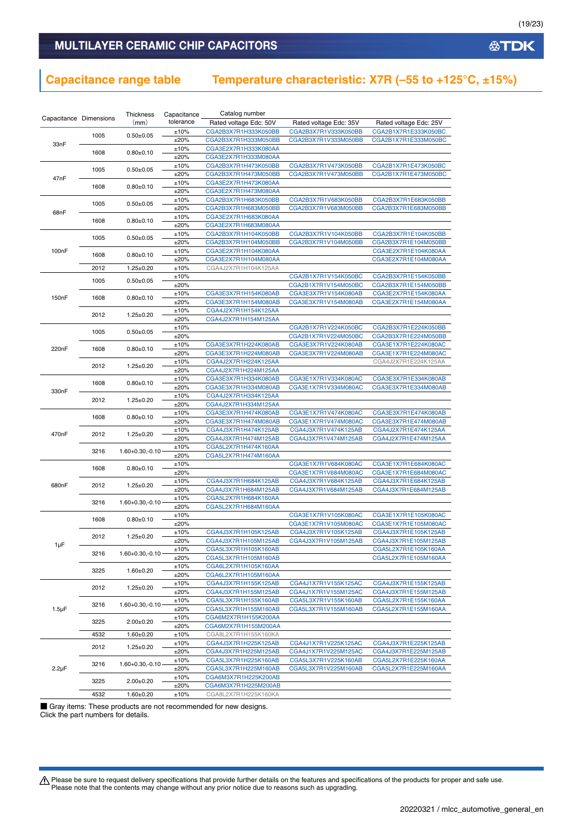# **Capacitance range table Temperature characteristic: X7R (–55 to +125°C, ±15%)**

|                        |              | Thickness            | Capacitance  | Catalog number                               |                        |                        |
|------------------------|--------------|----------------------|--------------|----------------------------------------------|------------------------|------------------------|
| Capacitance Dimensions |              | (mm)                 | tolerance    | Rated voltage Edc: 50V                       | Rated voltage Edc: 35V | Rated voltage Edc: 25V |
|                        |              |                      | ±10%         | CGA2B3X7R1H333K050BB                         | CGA2B3X7R1V333K050BB   | CGA2B1X7R1E333K050BC   |
|                        | 1005         | $0.50 + 0.05$        | ±20%         | CGA2B3X7R1H333M050BB                         | CGA2B3X7R1V333M050BB   | CGA2B1X7R1E333M050BC   |
| 33nF                   |              |                      | ±10%         | CGA3E2X7R1H333K080AA                         |                        |                        |
|                        | 1608         | $0.80 \pm 0.10$      | ±20%         | CGA3E2X7R1H333M080AA                         |                        |                        |
|                        |              |                      | ±10%         | CGA2B3X7R1H473K050BB                         | CGA2B3X7R1V473K050BB   | CGA2B1X7R1E473K050BC   |
|                        | 1005         | $0.50 + 0.05$        | ±20%         | CGA2B3X7R1H473M050BB                         | CGA2B3X7R1V473M050BB   | CGA2B1X7R1E473M050BC   |
| 47nF                   |              |                      | ±10%         | CGA3E2X7R1H473K080AA                         |                        |                        |
|                        | 1608         | $0.80 \pm 0.10$      | ±20%         | CGA3E2X7R1H473M080AA                         |                        |                        |
|                        |              |                      | ±10%         | CGA2B3X7R1H683K050BB                         | CGA2B3X7R1V683K050BB   | CGA2B3X7R1E683K050BB   |
|                        | 1005         | $0.50 + 0.05$        | ±20%         |                                              | CGA2B3X7R1V683M050BB   |                        |
| 68nF                   |              |                      |              | CGA2B3X7R1H683M050BB                         |                        | CGA2B3X7R1E683M050BB   |
|                        | 1608         | $0.80+0.10$          | ±10%         | CGA3E2X7R1H683K080AA                         |                        |                        |
|                        |              |                      | ±20%         | CGA3E2X7R1H683M080AA                         |                        |                        |
|                        | 1005         | $0.50 \pm 0.05$      | ±10%         | CGA2B3X7R1H104K050BB                         | CGA2B3X7R1V104K050BB   | CGA2B3X7R1E104K050BB   |
|                        |              |                      | ±20%         | CGA2B3X7R1H104M050BB                         | CGA2B3X7R1V104M050BB   | CGA2B3X7R1E104M050BB   |
| 100 <sub>n</sub> F     | 1608         | $0.80 + 0.10$        | ±10%         | CGA3E2X7R1H104K080AA                         |                        | CGA3E2X7R1E104K080AA   |
|                        |              |                      | ±20%         | CGA3E2X7R1H104M080AA                         |                        | CGA3E2X7R1E104M080AA   |
|                        | 2012         | $1.25 \pm 0.20$      | ±10%         | CGA4J2X7R1H104K125AA                         |                        |                        |
|                        | 1005         | $0.50 \pm 0.05$      | ±10%         |                                              | CGA2B1X7R1V154K050BC   | CGA2B3X7R1E154K050BB   |
|                        |              |                      | ±20%         |                                              | CGA2B1X7R1V154M050BC   | CGA2B3X7R1E154M050BB   |
| 150 <sub>n</sub> F     | 1608         | $0.80 + 0.10$        | ±10%         | CGA3E3X7R1H154K080AB                         | CGA3E3X7R1V154K080AB   | CGA3E2X7R1E154K080AA   |
|                        |              |                      | ±20%         | CGA3E3X7R1H154M080AB                         | CGA3E3X7R1V154M080AB   | CGA3E2X7R1E154M080AA   |
|                        | 2012         | $1.25 \pm 0.20$      | ±10%         | CGA4J2X7R1H154K125AA                         |                        |                        |
|                        |              |                      | ±20%         | CGA4J2X7R1H154M125AA                         |                        |                        |
|                        | 1005         | $0.50 + 0.05$        | ±10%         |                                              | CGA2B1X7R1V224K050BC   | CGA2B3X7R1E224K050BB   |
|                        |              |                      | ±20%         |                                              | CGA2B1X7R1V224M050BC   | CGA2B3X7R1E224M050BB   |
| 220 <sub>n</sub> F     | 1608         | $0.80 + 0.10$        | ±10%         | CGA3E3X7R1H224K080AB                         | CGA3E3X7R1V224K080AB   | CGA3E1X7R1E224K080AC   |
|                        |              |                      | ±20%         | CGA3E3X7R1H224M080AB                         | CGA3E3X7R1V224M080AB   | CGA3E1X7R1E224M080AC   |
|                        | 2012         | $1.25 \pm 0.20$      | ±10%         | CGA4J2X7R1H224K125AA                         |                        | CGA4J2X7R1E224K125AA   |
|                        |              |                      | ±20%         | CGA4J2X7R1H224M125AA                         |                        |                        |
|                        | 1608         | $0.80 + 0.10$        | ±10%         | CGA3E3X7R1H334K080AB                         | CGA3E1X7R1V334K080AC   | CGA3E3X7R1E334K080AB   |
|                        |              |                      | ±20%         | CGA3E3X7R1H334M080AB                         | CGA3E1X7R1V334M080AC   | CGA3E3X7R1E334M080AB   |
| 330nF                  |              |                      | ±10%         | CGA4J2X7R1H334K125AA                         |                        |                        |
|                        | 2012         | $1.25 \pm 0.20$      | ±20%         | CGA4J2X7R1H334M125AA                         |                        |                        |
|                        |              |                      | ±10%         | CGA3E3X7R1H474K080AB                         | CGA3E1X7R1V474K080AC   | CGA3E3X7R1E474K080AB   |
|                        | 1608         | $0.80 + 0.10$        | ±20%         | CGA3E3X7R1H474M080AB                         | CGA3E1X7R1V474M080AC   | CGA3E3X7R1E474M080AB   |
|                        | 2012<br>3216 |                      | ±10%         | CGA4J3X7R1H474K125AB                         | CGA4J3X7R1V474K125AB   | CGA4J2X7R1E474K125AA   |
| 470nF                  |              | $1.25 \pm 0.20$      | ±20%         | CGA4J3X7R1H474M125AB                         | CGA4J3X7R1V474M125AB   | CGA4J2X7R1E474M125AA   |
|                        |              |                      | ±10%         | CGA5L2X7R1H474K160AA                         |                        |                        |
|                        |              | $1.60 + 0.30, -0.10$ | ±20%         | CGA5L2X7R1H474M160AA                         |                        |                        |
|                        |              |                      | ±10%         |                                              | CGA3E1X7R1V684K080AC   | CGA3E1X7R1E684K080AC   |
|                        | 1608         | $0.80 + 0.10$        | ±20%         |                                              | CGA3E1X7R1V684M080AC   | CGA3E1X7R1E684M080AC   |
|                        |              |                      | ±10%         | CGA4J3X7R1H684K125AB                         | CGA4J3X7R1V684K125AB   | CGA4J3X7R1E684K125AB   |
| 680nF                  | 2012         | $1.25 \pm 0.20$      | ±20%         | CGA4J3X7R1H684M125AB                         | CGA4J3X7R1V684M125AB   | CGA4J3X7R1E684M125AB   |
|                        |              |                      | ±10%         | CGA5L2X7R1H684K160AA                         |                        |                        |
|                        | 3216         | $1.60 + 0.30, -0.10$ | ±20%         | CGA5L2X7R1H684M160AA                         |                        |                        |
|                        |              |                      | ±10%         |                                              | CGA3E1X7R1V105K080AC   | CGA3E1X7R1E105K080AC   |
|                        | 1608         | $0.80 \pm 0.10$      | ±20%         |                                              | CGA3E1X7R1V105M080AC   | CGA3E1X7R1E105M080AC   |
|                        |              |                      | ±10%         | CGA4J3X7R1H105K125AB                         | CGA4J3X7R1V105K125AB   | CGA4J3X7R1E105K125AB   |
|                        | 2012         | $1.25 \pm 0.20$      | ±20%         | CGA4J3X7R1H105M125AB                         | CGA4J3X7R1V105M125AB   | CGA4J3X7R1E105M125AB   |
| $1\mu F$               |              |                      | ±10%         | CGA5L3X7R1H105K160AB                         |                        | CGA5L2X7R1E105K160AA   |
|                        | 3216         | $1.60 + 0.30, -0.10$ | ±20%         | CGA5L3X7R1H105M160AB                         |                        | CGA5L2X7R1E105M160AA   |
|                        |              |                      | ±10%         | CGA6L2X7R1H105K160AA                         |                        |                        |
|                        | 3225         | $1.60 \pm 0.20$      | ±20%         | CGA6L2X7R1H105M160AA                         |                        |                        |
|                        |              |                      | ±10%         | CGA4J3X7R1H155K125AB                         | CGA4J1X7R1V155K125AC   | CGA4J3X7R1E155K125AB   |
| $1.5 \mu F$            | 2012         | $1.25 \pm 0.20$      | ±20%         | CGA4J3X7R1H155M125AB                         | CGA4J1X7R1V155M125AC   | CGA4J3X7R1E155M125AB   |
|                        |              |                      | ±10%         | CGA5L3X7R1H155K160AB                         | CGA5L3X7R1V155K160AB   | CGA5L2X7R1E155K160AA   |
|                        | 3216         | $1.60 + 0.30, -0.10$ | ±20%         |                                              | CGA5L3X7R1V155M160AB   | CGA5L2X7R1E155M160AA   |
|                        |              |                      |              | CGA5L3X7R1H155M160AB<br>CGA6M2X7R1H155K200AA |                        |                        |
|                        | 3225         | $2.00 \pm 0.20$      | ±10%<br>±20% | CGA6M2X7R1H155M200AA                         |                        |                        |
|                        |              |                      |              |                                              |                        |                        |
|                        | 4532         | $1.60 \pm 0.20$      | ±10%         | CGA8L2X7R1H155K160KA                         |                        |                        |
|                        | 2012         | $1.25 \pm 0.20$      | ±10%         | CGA4J3X7R1H225K125AB                         | CGA4J1X7R1V225K125AC   | CGA4J3X7R1E225K125AB   |
|                        |              |                      | ±20%         | CGA4J3X7R1H225M125AB                         | CGA4J1X7R1V225M125AC   | CGA4J3X7R1E225M125AB   |
|                        | 3216         | $1.60 + 0.30, -0.10$ | ±10%         | CGA5L3X7R1H225K160AB                         | CGA5L3X7R1V225K160AB   | CGA5L2X7R1E225K160AA   |
| $2.2\mu F$             |              |                      | ±20%         | CGA5L3X7R1H225M160AB                         | CGA5L3X7R1V225M160AB   | CGA5L2X7R1E225M160AA   |
|                        | 3225         | $2.00 \pm 0.20$      | ±10%         | CGA6M3X7R1H225K200AB                         |                        |                        |
|                        |              |                      | ±20%         | CGA6M3X7R1H225M200AB                         |                        |                        |
|                        | 4532         | $1.60 \pm 0.20$      | ±10%         | CGA8L2X7R1H225K160KA                         |                        |                        |

■ Gray items: These products are not recommended for new designs.

Click the part numbers for details.

Please be sure to request delivery specifications that provide further details on the features and specifications of the products for proper and safe use.<br>Please note that the contents may change without any prior notice d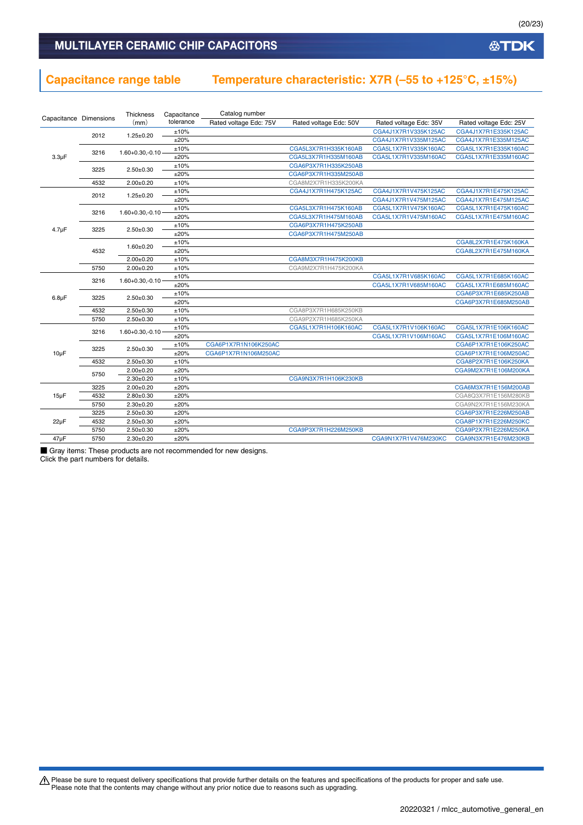# **Capacitance range table Temperature characteristic: X7R (–55 to +125°C, ±15%)**

|                        |      | Thickness            | Capacitance | Catalog number         |                        |                        |                        |  |  |                      |
|------------------------|------|----------------------|-------------|------------------------|------------------------|------------------------|------------------------|--|--|----------------------|
| Capacitance Dimensions |      | (mm)                 | tolerance   | Rated voltage Edc: 75V | Rated voltage Edc: 50V | Rated voltage Edc: 35V | Rated voltage Edc: 25V |  |  |                      |
|                        | 2012 | $1.25 \pm 0.20$      | ±10%        |                        |                        | CGA4J1X7R1V335K125AC   | CGA4J1X7R1E335K125AC   |  |  |                      |
|                        |      |                      | ±20%        |                        |                        | CGA4J1X7R1V335M125AC   | CGA4J1X7R1E335M125AC   |  |  |                      |
|                        | 3216 | $1.60 + 0.30, -0.10$ | ±10%        |                        | CGA5L3X7R1H335K160AB   | CGA5L1X7R1V335K160AC   | CGA5L1X7R1E335K160AC   |  |  |                      |
| $3.3\mu F$             |      |                      | ±20%        |                        | CGA5L3X7R1H335M160AB   | CGA5L1X7R1V335M160AC   | CGA5L1X7R1E335M160AC   |  |  |                      |
|                        | 3225 | $2.50 + 0.30$        | ±10%        |                        | CGA6P3X7R1H335K250AB   |                        |                        |  |  |                      |
|                        |      |                      | ±20%        |                        | CGA6P3X7R1H335M250AB   |                        |                        |  |  |                      |
|                        | 4532 | $2.00 \pm 0.20$      | ±10%        |                        | CGA8M2X7R1H335K200KA   |                        |                        |  |  |                      |
|                        | 2012 | $1.25 \pm 0.20$      | ±10%        |                        | CGA4J1X7R1H475K125AC   | CGA4J1X7R1V475K125AC   | CGA4J1X7R1E475K125AC   |  |  |                      |
|                        |      |                      | ±20%        |                        |                        | CGA4J1X7R1V475M125AC   | CGA4J1X7R1E475M125AC   |  |  |                      |
| 3216                   |      | $1.60 + 0.30, -0.10$ | ±10%        |                        | CGA5L3X7R1H475K160AB   | CGA5L1X7R1V475K160AC   | CGA5L1X7R1E475K160AC   |  |  |                      |
|                        |      |                      | ±20%        |                        | CGA5L3X7R1H475M160AB   | CGA5L1X7R1V475M160AC   | CGA5L1X7R1E475M160AC   |  |  |                      |
| $4.7 \mu F$            | 3225 | $2.50 \pm 0.30$      | ±10%        |                        | CGA6P3X7R1H475K250AB   |                        |                        |  |  |                      |
|                        |      |                      | ±20%        |                        | CGA6P3X7R1H475M250AB   |                        |                        |  |  |                      |
|                        | 4532 |                      |             |                        | $1.60 + 0.20$          | ±10%                   |                        |  |  | CGA8L2X7R1E475K160KA |
|                        |      |                      | ±20%        |                        |                        |                        | CGA8L2X7R1E475M160KA   |  |  |                      |
|                        |      | $2.00 \pm 0.20$      | ±10%        |                        | CGA8M3X7R1H475K200KB   |                        |                        |  |  |                      |
|                        | 5750 | $2.00 \pm 0.20$      | ±10%        |                        | CGA9M2X7R1H475K200KA   |                        |                        |  |  |                      |
|                        | 3216 |                      | ±10%        |                        |                        | CGA5L1X7R1V685K160AC   | CGA5L1X7R1E685K160AC   |  |  |                      |
|                        |      | $1.60 + 0.30, -0.10$ | ±20%        |                        |                        | CGA5L1X7R1V685M160AC   | CGA5L1X7R1E685M160AC   |  |  |                      |
|                        | 3225 | $2.50 + 0.30$        | ±10%        |                        |                        |                        | CGA6P3X7R1E685K250AB   |  |  |                      |
| $6.8\mu F$             |      |                      | ±20%        |                        |                        |                        | CGA6P3X7R1E685M250AB   |  |  |                      |
|                        | 4532 | $2.50 + 0.30$        | ±10%        |                        | CGA8P3X7R1H685K250KB   |                        |                        |  |  |                      |
|                        | 5750 | $2.50 \pm 0.30$      | ±10%        |                        | CGA9P2X7R1H685K250KA   |                        |                        |  |  |                      |
|                        | 3216 | $1.60 + 0.30, -0.10$ | ±10%        |                        | CGA5L1X7R1H106K160AC   | CGA5L1X7R1V106K160AC   | CGA5L1X7R1E106K160AC   |  |  |                      |
|                        |      |                      | ±20%        |                        |                        | CGA5L1X7R1V106M160AC   | CGA5L1X7R1E106M160AC   |  |  |                      |
|                        | 3225 | $2.50 + 0.30$        | ±10%        | CGA6P1X7R1N106K250AC   |                        |                        | CGA6P1X7R1E106K250AC   |  |  |                      |
| $10\mu F$              |      |                      | ±20%        | CGA6P1X7R1N106M250AC   |                        |                        | CGA6P1X7R1E106M250AC   |  |  |                      |
|                        | 4532 | $2.50 + 0.30$        | ±10%        |                        |                        |                        | CGA8P2X7R1E106K250KA   |  |  |                      |
|                        | 5750 | $2.00 \pm 0.20$      | ±20%        |                        |                        |                        | CGA9M2X7R1E106M200KA   |  |  |                      |
|                        |      | $2.30 + 0.20$        | ±10%        |                        | CGA9N3X7R1H106K230KB   |                        |                        |  |  |                      |
|                        | 3225 | $2.00 \pm 0.20$      | ±20%        |                        |                        |                        | CGA6M3X7R1E156M200AB   |  |  |                      |
| $15\mu F$              | 4532 | $2.80 + 0.30$        | ±20%        |                        |                        |                        | CGA8Q3X7R1E156M280KB   |  |  |                      |
|                        | 5750 | $2.30 \pm 0.20$      | ±20%        |                        |                        |                        | CGA9N2X7R1E156M230KA   |  |  |                      |
|                        | 3225 | $2.50 + 0.30$        | ±20%        |                        |                        |                        | CGA6P3X7R1E226M250AB   |  |  |                      |
| $22\mu F$              | 4532 | $2.50 + 0.30$        | ±20%        |                        |                        |                        | CGA8P1X7R1E226M250KC   |  |  |                      |
|                        | 5750 | $2.50 + 0.30$        | ±20%        |                        | CGA9P3X7R1H226M250KB   |                        | CGA9P2X7R1E226M250KA   |  |  |                      |
| $47\mu F$              | 5750 | $2.30 \pm 0.20$      | ±20%        |                        |                        | CGA9N1X7R1V476M230KC   | CGA9N3X7R1E476M230KB   |  |  |                      |

■ Gray items: These products are not recommended for new designs.

Click the part numbers for details.

Please be sure to request delivery specifications that provide further details on the features and specifications of the products for proper and safe use.<br>Please note that the contents may change without any prior notice d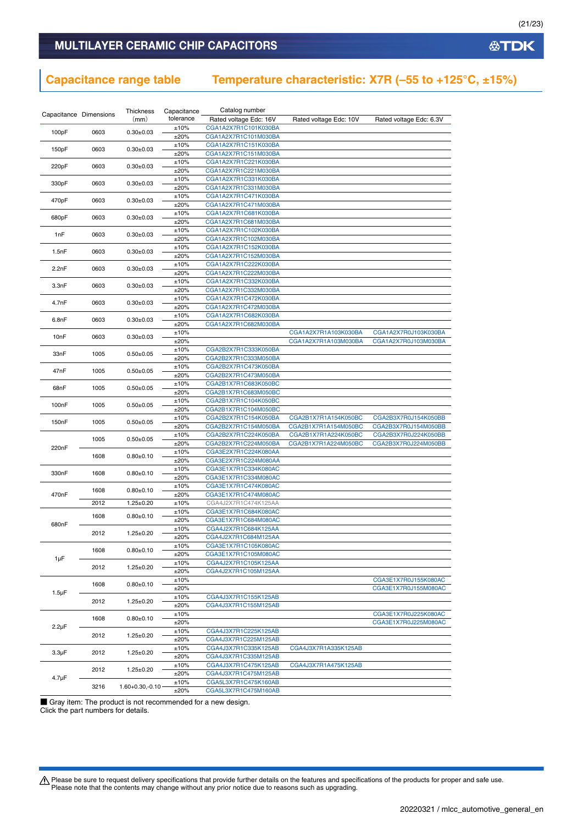# **Capacitance range table Temperature characteristic: X7R (–55 to +125°C, ±15%)**

| Capacitance Dimensions |      | Thickness            | Capacitance  | Catalog number                               |                                              |                                              |
|------------------------|------|----------------------|--------------|----------------------------------------------|----------------------------------------------|----------------------------------------------|
|                        |      | (mm)                 | tolerance    | Rated voltage Edc: 16V                       | Rated voltage Edc: 10V                       | Rated voltage Edc: 6.3V                      |
| 100pF                  | 0603 | $0.30 \pm 0.03$      | ±10%         | CGA1A2X7R1C101K030BA                         |                                              |                                              |
|                        |      |                      | ±20%         | CGA1A2X7R1C101M030BA                         |                                              |                                              |
| 150pF                  | 0603 | $0.30 \pm 0.03$      | ±10%         | CGA1A2X7R1C151K030BA                         |                                              |                                              |
|                        |      |                      | ±20%<br>±10% | CGA1A2X7R1C151M030BA<br>CGA1A2X7R1C221K030BA |                                              |                                              |
| 220pF                  | 0603 | $0.30 \pm 0.03$      | ±20%         | CGA1A2X7R1C221M030BA                         |                                              |                                              |
|                        |      |                      | ±10%         | CGA1A2X7R1C331K030BA                         |                                              |                                              |
| 330pF                  | 0603 | $0.30 \pm 0.03$      | ±20%         | CGA1A2X7R1C331M030BA                         |                                              |                                              |
|                        |      |                      | ±10%         | CGA1A2X7R1C471K030BA                         |                                              |                                              |
| 470pF                  | 0603 | $0.30 \pm 0.03$      | ±20%         | CGA1A2X7R1C471M030BA                         |                                              |                                              |
| 680pF                  | 0603 | $0.30 \pm 0.03$      | ±10%         | CGA1A2X7R1C681K030BA                         |                                              |                                              |
|                        |      |                      | ±20%         | CGA1A2X7R1C681M030BA                         |                                              |                                              |
| 1nF                    | 0603 | $0.30 \pm 0.03$      | ±10%         | CGA1A2X7R1C102K030BA                         |                                              |                                              |
|                        |      |                      | ±20%<br>±10% | CGA1A2X7R1C102M030BA<br>CGA1A2X7R1C152K030BA |                                              |                                              |
| 1.5nF                  | 0603 | $0.30 \pm 0.03$      | ±20%         | CGA1A2X7R1C152M030BA                         |                                              |                                              |
|                        |      |                      | ±10%         | CGA1A2X7R1C222K030BA                         |                                              |                                              |
| 2.2nF                  | 0603 | $0.30 \pm 0.03$      | ±20%         | CGA1A2X7R1C222M030BA                         |                                              |                                              |
| 3.3nF                  | 0603 |                      | ±10%         | CGA1A2X7R1C332K030BA                         |                                              |                                              |
|                        |      | $0.30 \pm 0.03$      | ±20%         | CGA1A2X7R1C332M030BA                         |                                              |                                              |
| 4.7nF                  | 0603 | $0.30 \pm 0.03$      | ±10%         | CGA1A2X7R1C472K030BA                         |                                              |                                              |
|                        |      |                      | ±20%         | CGA1A2X7R1C472M030BA                         |                                              |                                              |
| 6.8nF                  | 0603 | $0.30 \pm 0.03$      | ±10%         | CGA1A2X7R1C682K030BA                         |                                              |                                              |
|                        |      |                      | ±20%         | CGA1A2X7R1C682M030BA                         | CGA1A2X7R1A103K030BA                         |                                              |
| 10nF                   | 0603 | $0.30 \pm 0.03$      | ±10%<br>±20% |                                              | CGA1A2X7R1A103M030BA                         | CGA1A2X7R0J103K030BA<br>CGA1A2X7R0J103M030BA |
|                        |      |                      | ±10%         | CGA2B2X7R1C333K050BA                         |                                              |                                              |
| 33nF                   | 1005 | $0.50 + 0.05$        | ±20%         | CGA2B2X7R1C333M050BA                         |                                              |                                              |
|                        |      |                      | ±10%         | CGA2B2X7R1C473K050BA                         |                                              |                                              |
| 47nF                   | 1005 | $0.50 \pm 0.05$      | ±20%         | CGA2B2X7R1C473M050BA                         |                                              |                                              |
| 68nF                   | 1005 | $0.50 \pm 0.05$      | ±10%         | CGA2B1X7R1C683K050BC                         |                                              |                                              |
|                        |      |                      | ±20%         | CGA2B1X7R1C683M050BC                         |                                              |                                              |
| 100 <sub>n</sub> F     | 1005 | $0.50 \pm 0.05$      | ±10%         | CGA2B1X7R1C104K050BC                         |                                              |                                              |
|                        |      |                      | ±20%         | CGA2B1X7R1C104M050BC                         |                                              |                                              |
| 150nF                  | 1005 | $0.50+0.05$          | ±10%<br>±20% | CGA2B2X7R1C154K050BA<br>CGA2B2X7R1C154M050BA | CGA2B1X7R1A154K050BC                         | CGA2B3X7R0J154K050BB                         |
|                        |      |                      | ±10%         | CGA2B2X7R1C224K050BA                         | CGA2B1X7R1A154M050BC<br>CGA2B1X7R1A224K050BC | CGA2B3X7R0J154M050BB<br>CGA2B3X7R0J224K050BB |
|                        | 1005 | $0.50 \pm 0.05$      | ±20%         | CGA2B2X7R1C224M050BA                         | CGA2B1X7R1A224M050BC                         | CGA2B3X7R0J224M050BB                         |
| 220nF                  |      |                      | ±10%         | CGA3E2X7R1C224K080AA                         |                                              |                                              |
|                        | 1608 | $0.80 + 0.10$        | ±20%         | CGA3E2X7R1C224M080AA                         |                                              |                                              |
| 330nF                  | 1608 | $0.80 \pm 0.10$      | ±10%         | CGA3E1X7R1C334K080AC                         |                                              |                                              |
|                        |      |                      | ±20%         | CGA3E1X7R1C334M080AC                         |                                              |                                              |
|                        | 1608 | $0.80 + 0.10$        | ±10%         | CGA3E1X7R1C474K080AC                         |                                              |                                              |
| 470nF                  |      |                      | ±20%         | CGA3E1X7R1C474M080AC                         |                                              |                                              |
|                        | 2012 | $1.25 \pm 0.20$      | ±10%         | CGA4J2X7R1C474K125AA                         |                                              |                                              |
|                        | 1608 | $0.80 + 0.10$        | ±10%<br>±20% | CGA3E1X7R1C684K080AC<br>CGA3E1X7R1C684M080AC |                                              |                                              |
| 680nF                  |      |                      | ±10%         | CGA4J2X7R1C684K125AA                         |                                              |                                              |
|                        | 2012 | $1.25 \pm 0.20$      | ±20%         | CGA4J2X7R1C684M125AA                         |                                              |                                              |
|                        |      |                      | ±10%         | CGA3E1X7R1C105K080AC                         |                                              |                                              |
|                        | 1608 | $0.80 \pm 0.10$      | ±20%         | CGA3E1X7R1C105M080AC                         |                                              |                                              |
| 1µF                    | 2012 | $1.25 \pm 0.20$      | ±10%         | CGA4J2X7R1C105K125AA                         |                                              |                                              |
|                        |      |                      | ±20%         | CGA4J2X7R1C105M125AA                         |                                              |                                              |
|                        | 1608 | $0.80 + 0.10$        | ±10%         |                                              |                                              | CGA3E1X7R0J155K080AC                         |
| $1.5 \mu F$            |      |                      | ±20%         |                                              |                                              | CGA3E1X7R0J155M080AC                         |
|                        | 2012 | $1.25 \pm 0.20$      | ±10%<br>±20% | CGA4J3X7R1C155K125AB<br>CGA4J3X7R1C155M125AB |                                              |                                              |
|                        |      |                      |              |                                              |                                              |                                              |
|                        | 1608 | $0.80 \pm 0.10$      | ±10%<br>±20% |                                              |                                              | CGA3E1X7R0J225K080AC<br>CGA3E1X7R0J225M080AC |
| $2.2 \mu F$            |      |                      | ±10%         | CGA4J3X7R1C225K125AB                         |                                              |                                              |
|                        | 2012 | $1.25 \pm 0.20$      | ±20%         | CGA4J3X7R1C225M125AB                         |                                              |                                              |
|                        |      |                      | ±10%         | CGA4J3X7R1C335K125AB                         | CGA4J3X7R1A335K125AB                         |                                              |
| $3.3 \mu F$            | 2012 | $1.25 \pm 0.20$      | ±20%         | CGA4J3X7R1C335M125AB                         |                                              |                                              |
|                        | 2012 | $1.25 \pm 0.20$      | ±10%         | CGA4J3X7R1C475K125AB                         | CGA4J3X7R1A475K125AB                         |                                              |
| $4.7 \mu F$            |      |                      | ±20%         | CGA4J3X7R1C475M125AB                         |                                              |                                              |
|                        | 3216 | $1.60 + 0.30, -0.10$ | ±10%         | CGA5L3X7R1C475K160AB                         |                                              |                                              |
|                        |      |                      | ±20%         | CGA5L3X7R1C475M160AB                         |                                              |                                              |
|                        |      |                      |              |                                              |                                              |                                              |

■ Gray item: The product is not recommended for a new design. Click the part numbers for details.

Please be sure to request delivery specifications that provide further details on the features and specifications of the products for proper and safe use.<br>Please note that the contents may change without any prior notice d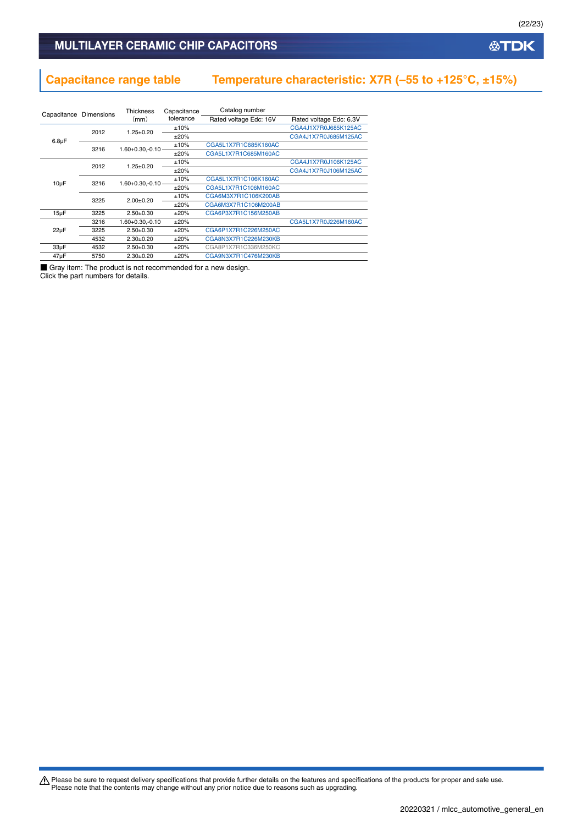# **Capacitance range table Temperature characteristic: X7R (–55 to +125°C, ±15%)**

| Capacitance | <b>Dimensions</b> | <b>Thickness</b><br>(mm) | Capacitance<br>tolerance | Catalog number<br>Rated voltage Edc: 16V | Rated voltage Edc: 6.3V |
|-------------|-------------------|--------------------------|--------------------------|------------------------------------------|-------------------------|
|             |                   |                          | ±10%                     |                                          | CGA4J1X7R0J685K125AC    |
|             | 2012              | $1.25 + 0.20$            | $+20%$                   |                                          | CGA4J1X7R0J685M125AC    |
| $6.8\mu F$  | 3216              | $1.60 + 0.30 - 0.10$     | ±10%                     | CGA5L1X7R1C685K160AC                     |                         |
|             |                   |                          | $+20%$                   | CGA5L1X7R1C685M160AC                     |                         |
|             | 2012              | $1.25 + 0.20$            | ±10%                     |                                          | CGA4J1X7R0J106K125AC    |
|             |                   |                          | $+20%$                   |                                          | CGA4J1X7R0J106M125AC    |
| $10\mu F$   | 3216<br>3225      | $1.60 + 0.30 - 0.10 =$   | ±10%                     | CGA5L1X7R1C106K160AC                     |                         |
|             |                   |                          | $+20%$                   | CGA5L1X7R1C106M160AC                     |                         |
|             |                   | $2.00+0.20$              | ±10%                     | CGA6M3X7R1C106K200AB                     |                         |
|             |                   |                          | $+20%$                   | CGA6M3X7R1C106M200AB                     |                         |
| $15\mu F$   | 3225              | $2.50+0.30$              | ±20%                     | CGA6P3X7R1C156M250AB                     |                         |
|             | 3216              | 1.60+0.30.-0.10          | ±20%                     |                                          | CGA5L1X7R0J226M160AC    |
| $22\mu F$   | 3225              | $2.50+0.30$              | $+20%$                   | CGA6P1X7R1C226M250AC                     |                         |
|             | 4532              | $2.30+0.20$              | $+20%$                   | CGA8N3X7R1C226M230KB                     |                         |
| $33\mu F$   | 4532              | $2.50+0.30$              | $+20%$                   | CGA8P1X7R1C336M250KC                     |                         |
| $47\mu F$   | 5750              | $2.30+0.20$              | ±20%                     | CGA9N3X7R1C476M230KB                     |                         |

■ Gray item: The product is not recommended for a new design.

Click the part numbers for details.

Please be sure to request delivery specifications that provide further details on the features and specifications of the products for proper and safe use.<br>Please note that the contents may change without any prior notice d